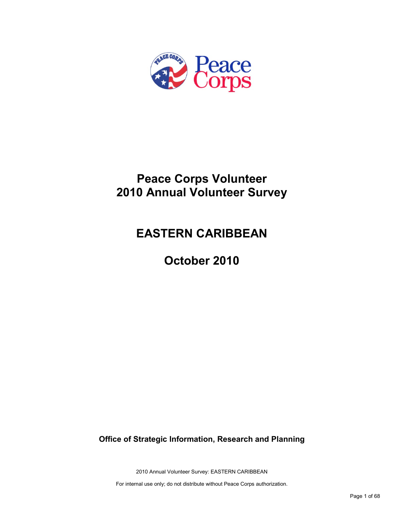

# **Peace Corps Volunteer 2010 Annual Volunteer Survey**

# **EASTERN CARIBBEAN**

**October 2010**

**Office of Strategic Information, Research and Planning**

2010 Annual Volunteer Survey: EASTERN CARIBBEAN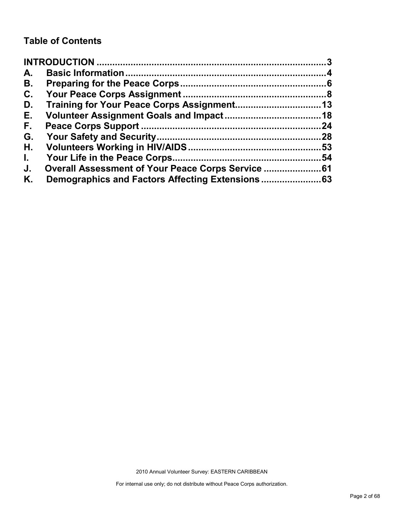# **Table of Contents**

| A.           |                                                |    |
|--------------|------------------------------------------------|----|
| В.           |                                                |    |
| C.           |                                                |    |
| D.           |                                                |    |
| Е.           |                                                |    |
| F.,          |                                                | 24 |
| G.           |                                                |    |
| Η.           |                                                |    |
| $\mathbf{L}$ |                                                | 54 |
| J.           | Overall Assessment of Your Peace Corps Service |    |
| Κ.           |                                                |    |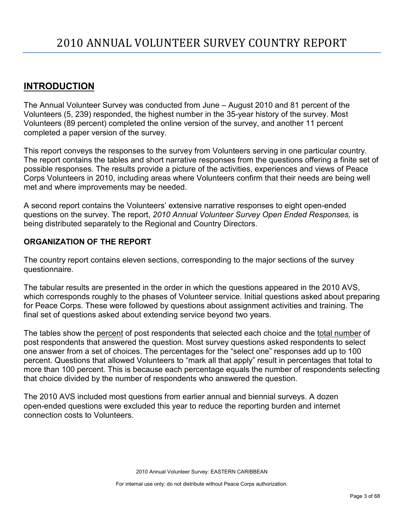# <span id="page-2-0"></span>**INTRODUCTION**

The Annual Volunteer Survey was conducted from June – August 2010 and 81 percent of the Volunteers (5, 239) responded, the highest number in the 35-year history of the survey. Most Volunteers (89 percent) completed the online version of the survey, and another 11 percent completed a paper version of the survey.

This report conveys the responses to the survey from Volunteers serving in one particular country. The report contains the tables and short narrative responses from the questions offering a finite set of possible responses. The results provide a picture of the activities, experiences and views of Peace Corps Volunteers in 2010, including areas where Volunteers confirm that their needs are being well met and where improvements may be needed.

A second report contains the Volunteers' extensive narrative responses to eight open-ended questions on the survey. The report, *2010 Annual Volunteer Survey Open Ended Responses,* is being distributed separately to the Regional and Country Directors.

## **ORGANIZATION OF THE REPORT**

The country report contains eleven sections, corresponding to the major sections of the survey questionnaire.

The tabular results are presented in the order in which the questions appeared in the 2010 AVS, which corresponds roughly to the phases of Volunteer service. Initial questions asked about preparing for Peace Corps. These were followed by questions about assignment activities and training. The final set of questions asked about extending service beyond two years.

The tables show the percent of post respondents that selected each choice and the total number of post respondents that answered the question. Most survey questions asked respondents to select one answer from a set of choices. The percentages for the "select one" responses add up to 100 percent. Questions that allowed Volunteers to "mark all that apply" result in percentages that total to more than 100 percent. This is because each percentage equals the number of respondents selecting that choice divided by the number of respondents who answered the question.

The 2010 AVS included most questions from earlier annual and biennial surveys. A dozen open-ended questions were excluded this year to reduce the reporting burden and internet connection costs to Volunteers.

2010 Annual Volunteer Survey: EASTERN CARIBBEAN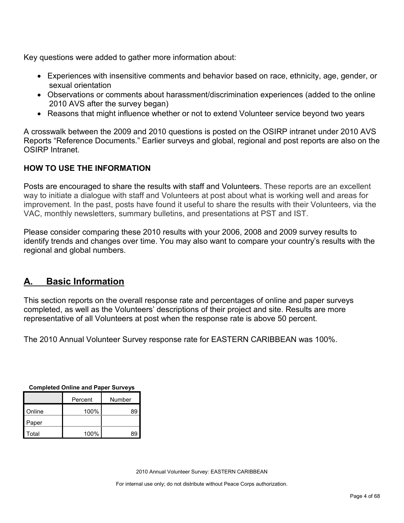Key questions were added to gather more information about:

- Experiences with insensitive comments and behavior based on race, ethnicity, age, gender, or sexual orientation
- Observations or comments about harassment/discrimination experiences (added to the online 2010 AVS after the survey began)
- Reasons that might influence whether or not to extend Volunteer service beyond two years

A crosswalk between the 2009 and 2010 questions is posted on the OSIRP intranet under 2010 AVS Reports "Reference Documents." Earlier surveys and global, regional and post reports are also on the OSIRP Intranet.

## **HOW TO USE THE INFORMATION**

Posts are encouraged to share the results with staff and Volunteers. These reports are an excellent way to initiate a dialogue with staff and Volunteers at post about what is working well and areas for improvement. In the past, posts have found it useful to share the results with their Volunteers, via the VAC, monthly newsletters, summary bulletins, and presentations at PST and IST.

Please consider comparing these 2010 results with your 2006, 2008 and 2009 survey results to identify trends and changes over time. You may also want to compare your country's results with the regional and global numbers.

# <span id="page-3-0"></span>**A. Basic Information**

This section reports on the overall response rate and percentages of online and paper surveys completed, as well as the Volunteers' descriptions of their project and site. Results are more representative of all Volunteers at post when the response rate is above 50 percent.

The 2010 Annual Volunteer Survey response rate for EASTERN CARIBBEAN was 100%.

| Completed Online and Paper Surveys |         |        |  |  |
|------------------------------------|---------|--------|--|--|
|                                    | Percent | Number |  |  |
| Online                             | 100%    | 89     |  |  |
| Paper                              |         |        |  |  |
| Total                              | 100%    | 89     |  |  |

**Completed Online and Paper Surveys**

2010 Annual Volunteer Survey: EASTERN CARIBBEAN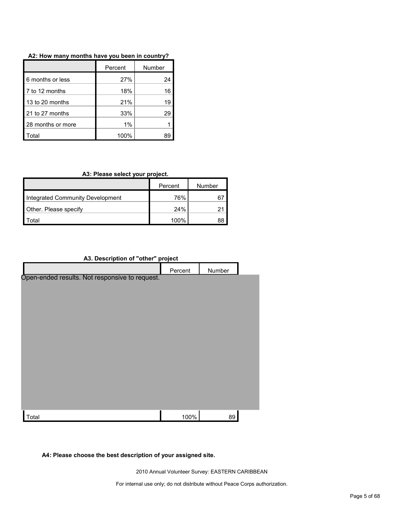|                   | Percent | Number |  |
|-------------------|---------|--------|--|
| 6 months or less  | 27%     | 24     |  |
| 7 to 12 months    | 18%     | 16     |  |
| 13 to 20 months   | 21%     | 19     |  |
| 21 to 27 months   | 33%     | 29     |  |
| 28 months or more | 1%      |        |  |
| otal              | 100%    |        |  |

## **A3: Please select your project.**

|                                  | Percent | Number |
|----------------------------------|---------|--------|
| Integrated Community Development | 76%     | 67     |
| Other. Please specify            | 24%     |        |
| otal <sup>.</sup>                | 100%    | 88     |

## **A3. Description of "other" project**

|                                                | Percent | Number |  |
|------------------------------------------------|---------|--------|--|
| Open-ended results. Not responsive to request. |         |        |  |
|                                                |         |        |  |
|                                                |         |        |  |
|                                                |         |        |  |
|                                                |         |        |  |
|                                                |         |        |  |
|                                                |         |        |  |
|                                                |         |        |  |
|                                                |         |        |  |
|                                                |         |        |  |
|                                                |         |        |  |
| Total                                          | 100%    | 89     |  |

## **A4: Please choose the best description of your assigned site.**

2010 Annual Volunteer Survey: EASTERN CARIBBEAN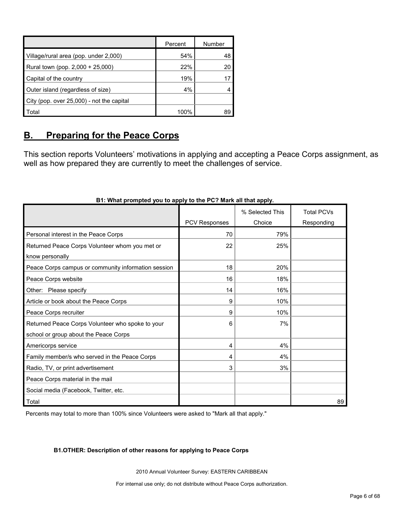|                                           | Percent | Number |
|-------------------------------------------|---------|--------|
| Village/rural area (pop. under 2,000)     | 54%     | 48     |
| Rural town (pop. 2,000 + 25,000)          | 22%     | 20     |
| Capital of the country                    | 19%     |        |
| Outer island (regardless of size)         | 4%      |        |
| City (pop. over 25,000) - not the capital |         |        |
| Total                                     | 100%    | 89     |

# <span id="page-5-0"></span>**B. Preparing for the Peace Corps**

This section reports Volunteers' motivations in applying and accepting a Peace Corps assignment, as well as how prepared they are currently to meet the challenges of service.

|                                                     |               | % Selected This | <b>Total PCVs</b> |
|-----------------------------------------------------|---------------|-----------------|-------------------|
|                                                     | PCV Responses | Choice          | Responding        |
| Personal interest in the Peace Corps                | 70            | 79%             |                   |
| Returned Peace Corps Volunteer whom you met or      | 22            | 25%             |                   |
| know personally                                     |               |                 |                   |
| Peace Corps campus or community information session | 18            | 20%             |                   |
| Peace Corps website                                 | 16            | 18%             |                   |
| Other: Please specify                               | 14            | 16%             |                   |
| Article or book about the Peace Corps               | 9             | 10%             |                   |
| Peace Corps recruiter                               | 9             | 10%             |                   |
| Returned Peace Corps Volunteer who spoke to your    | 6             | 7%              |                   |
| school or group about the Peace Corps               |               |                 |                   |
| Americorps service                                  | 4             | 4%              |                   |
| Family member/s who served in the Peace Corps       | 4             | 4%              |                   |
| Radio, TV, or print advertisement                   | 3             | 3%              |                   |
| Peace Corps material in the mail                    |               |                 |                   |
| Social media (Facebook, Twitter, etc.               |               |                 |                   |
| Total                                               |               |                 | 89                |

## **B1: What prompted you to apply to the PC? Mark all that apply.**

Percents may total to more than 100% since Volunteers were asked to "Mark all that apply."

#### **B1.OTHER: Description of other reasons for applying to Peace Corps**

2010 Annual Volunteer Survey: EASTERN CARIBBEAN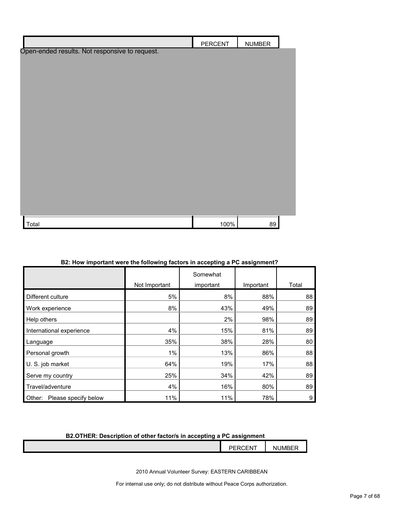|                                                | <b>PERCENT</b> | <b>NUMBER</b> |  |
|------------------------------------------------|----------------|---------------|--|
| Open-ended results. Not responsive to request. |                |               |  |
|                                                |                |               |  |
|                                                |                |               |  |
|                                                |                |               |  |
|                                                |                |               |  |
|                                                |                |               |  |
|                                                |                |               |  |
|                                                |                |               |  |
|                                                |                |               |  |
|                                                |                |               |  |
|                                                |                |               |  |
|                                                |                |               |  |
|                                                |                |               |  |
|                                                |                |               |  |
|                                                |                |               |  |
|                                                |                |               |  |
| Total                                          | 100%           | 89            |  |

|                                | Not Important | Somewhat<br>important | Important | Total |
|--------------------------------|---------------|-----------------------|-----------|-------|
| Different culture              | 5%            | 8%                    | 88%       | 88    |
|                                |               |                       |           |       |
| Work experience                | 8%            | 43%                   | 49%       | 89    |
| Help others                    |               | 2%                    | 98%       | 89    |
| International experience       | 4%            | 15%                   | 81%       | 89    |
| Language                       | 35%           | 38%                   | 28%       | 80    |
| Personal growth                | $1\%$         | 13%                   | 86%       | 88    |
| U. S. job market               | 64%           | 19%                   | 17%       | 88    |
| Serve my country               | 25%           | 34%                   | 42%       | 89    |
| Travel/adventure               | 4%            | 16%                   | 80%       | 89    |
| Please specify below<br>Other: | 11%           | 11%                   | 78%       | 9     |

#### **B2: How important were the following factors in accepting a PC assignment?**

## **B2.OTHER: Description of other factor/s in accepting a PC assignment**

| <b>PERCENT</b> | $- -$<br>JMI<br>Νt |
|----------------|--------------------|
| . <u>.</u>     | .                  |
|                |                    |

2010 Annual Volunteer Survey: EASTERN CARIBBEAN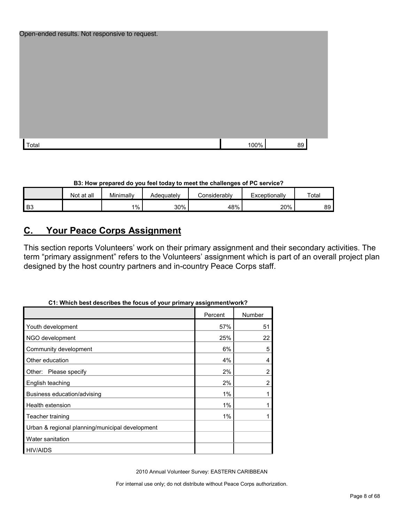| Open-ended results. Not responsive to request. |      |    |
|------------------------------------------------|------|----|
|                                                |      |    |
|                                                |      |    |
|                                                |      |    |
|                                                |      |    |
|                                                |      |    |
|                                                |      |    |
|                                                |      |    |
|                                                |      |    |
|                                                |      |    |
|                                                |      |    |
| Total                                          | 100% | 89 |

**B3: How prepared do you feel today to meet the challenges of PC service?**

|    | Not at all | Minimally | Adequately | Considerably | Exceptionally | Total |
|----|------------|-----------|------------|--------------|---------------|-------|
| B3 |            | $1\%$     | 30%        | 48%          | 20%           | 89    |

# <span id="page-7-0"></span>**C. Your Peace Corps Assignment**

This section reports Volunteers' work on their primary assignment and their secondary activities. The term "primary assignment" refers to the Volunteers' assignment which is part of an overall project plan designed by the host country partners and in-country Peace Corps staff.

|                                                 | Percent | Number         |
|-------------------------------------------------|---------|----------------|
| Youth development                               | 57%     | 51             |
| NGO development                                 | 25%     | 22             |
| Community development                           | 6%      | 5              |
| Other education                                 | 4%      | 4              |
| Other:<br>Please specify                        | 2%      | $\overline{2}$ |
| English teaching                                | 2%      | 2              |
| Business education/advising                     | 1%      |                |
| Health extension                                | 1%      |                |
| Teacher training                                | 1%      |                |
| Urban & regional planning/municipal development |         |                |
| Water sanitation                                |         |                |
| <b>HIV/AIDS</b>                                 |         |                |

## **C1: Which best describes the focus of your primary assignment/work?**

2010 Annual Volunteer Survey: EASTERN CARIBBEAN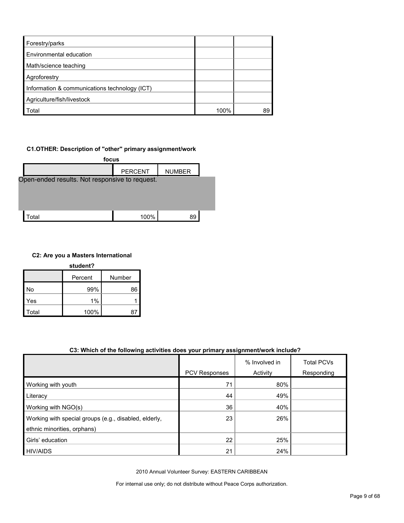| Forestry/parks                                |      |    |
|-----------------------------------------------|------|----|
| <b>Environmental education</b>                |      |    |
| Math/science teaching                         |      |    |
| Agroforestry                                  |      |    |
| Information & communications technology (ICT) |      |    |
| Agriculture/fish/livestock                    |      |    |
| Total                                         | 100% | 89 |

#### **C1.OTHER: Description of "other" primary assignment/work**



#### **C2: Are you a Masters International**

| student? |         |        |  |  |  |
|----------|---------|--------|--|--|--|
|          | Percent | Number |  |  |  |
| No       | 99%     | 86     |  |  |  |
| Yes      | 1%      |        |  |  |  |
| Total    | 100%    | 87     |  |  |  |

#### **C3: Which of the following activities does your primary assignment/work include?**

|                                                       |                      | % Involved in | <b>Total PCVs</b> |
|-------------------------------------------------------|----------------------|---------------|-------------------|
|                                                       | <b>PCV Responses</b> | Activity      | Responding        |
| Working with youth                                    | 71                   | 80%           |                   |
| Literacy                                              | 44                   | 49%           |                   |
| Working with NGO(s)                                   | 36                   | 40%           |                   |
| Working with special groups (e.g., disabled, elderly, | 23                   | 26%           |                   |
| ethnic minorities, orphans)                           |                      |               |                   |
| Girls' education                                      | 22                   | 25%           |                   |
| <b>HIV/AIDS</b>                                       | 21                   | 24%           |                   |

2010 Annual Volunteer Survey: EASTERN CARIBBEAN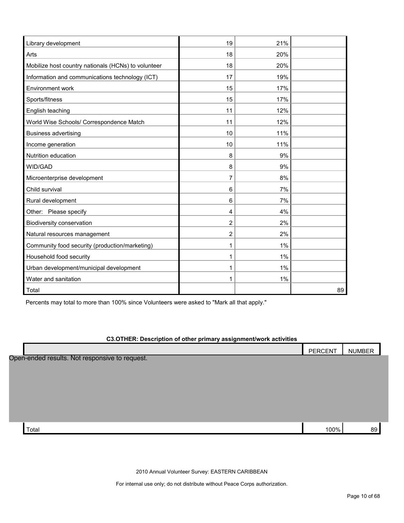| Library development                                 | 19 | 21%   |    |
|-----------------------------------------------------|----|-------|----|
| Arts                                                | 18 | 20%   |    |
| Mobilize host country nationals (HCNs) to volunteer | 18 | 20%   |    |
| Information and communications technology (ICT)     | 17 | 19%   |    |
| Environment work                                    | 15 | 17%   |    |
| Sports/fitness                                      | 15 | 17%   |    |
| English teaching                                    | 11 | 12%   |    |
| World Wise Schools/ Correspondence Match            | 11 | 12%   |    |
| <b>Business advertising</b>                         | 10 | 11%   |    |
| Income generation                                   | 10 | 11%   |    |
| Nutrition education                                 | 8  | 9%    |    |
| WID/GAD                                             | 8  | 9%    |    |
| Microenterprise development                         | 7  | 8%    |    |
| Child survival                                      | 6  | 7%    |    |
| Rural development                                   | 6  | 7%    |    |
| Other: Please specify                               | 4  | 4%    |    |
| Biodiversity conservation                           | 2  | 2%    |    |
| Natural resources management                        | 2  | 2%    |    |
| Community food security (production/marketing)      | 1  | 1%    |    |
| Household food security                             | 1  | 1%    |    |
| Urban development/municipal development             | 1  | $1\%$ |    |
| Water and sanitation                                | 1  | 1%    |    |
| Total                                               |    |       | 89 |

Percents may total to more than 100% since Volunteers were asked to "Mark all that apply."

## **C3.OTHER: Description of other primary assignment/work activities**

|                                                | PERCENT | <b>NUMBER</b> |  |
|------------------------------------------------|---------|---------------|--|
| Open-ended results. Not responsive to request. |         |               |  |
|                                                |         |               |  |
|                                                |         |               |  |
|                                                |         |               |  |
|                                                |         |               |  |
|                                                |         |               |  |
| Total                                          | 100%    | 89            |  |

2010 Annual Volunteer Survey: EASTERN CARIBBEAN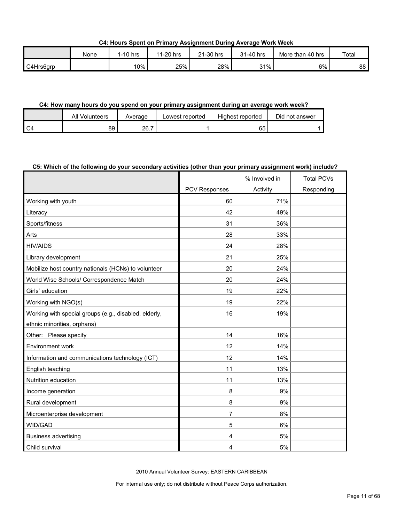**C4: Hours Spent on Primary Assignment During Average Work Week**

|           | None | 1-10 hrs | 1-20 hrs<br>44 | 21-30 hrs | 31-40 hrs | More than 40 hrs | Total |
|-----------|------|----------|----------------|-----------|-----------|------------------|-------|
| C4Hrs6grp |      | 10%      | 25%            | 28%       | 31%       | 6%               | 88    |

#### **C4: How many hours do you spend on your primary assignment during an average work week?**

|                | All<br>Volunteers | Average | Lowest reported | Highest reported | Did not answer |
|----------------|-------------------|---------|-----------------|------------------|----------------|
| C <sub>4</sub> | 89                | 26.7    |                 | 65               |                |

#### **C5: Which of the following do your secondary activities (other than your primary assignment work) include?**

|                                                       |               | % Involved in | <b>Total PCVs</b> |
|-------------------------------------------------------|---------------|---------------|-------------------|
|                                                       | PCV Responses | Activity      | Responding        |
| Working with youth                                    | 60            | 71%           |                   |
| Literacy                                              | 42            | 49%           |                   |
| Sports/fitness                                        | 31            | 36%           |                   |
| Arts                                                  | 28            | 33%           |                   |
| <b>HIV/AIDS</b>                                       | 24            | 28%           |                   |
| Library development                                   | 21            | 25%           |                   |
| Mobilize host country nationals (HCNs) to volunteer   | 20            | 24%           |                   |
| World Wise Schools/ Correspondence Match              | 20            | 24%           |                   |
| Girls' education                                      | 19            | 22%           |                   |
| Working with NGO(s)                                   | 19            | 22%           |                   |
| Working with special groups (e.g., disabled, elderly, | 16            | 19%           |                   |
| ethnic minorities, orphans)                           |               |               |                   |
| Other: Please specify                                 | 14            | 16%           |                   |
| Environment work                                      | 12            | 14%           |                   |
| Information and communications technology (ICT)       | 12            | 14%           |                   |
| English teaching                                      | 11            | 13%           |                   |
| Nutrition education                                   | 11            | 13%           |                   |
| Income generation                                     | 8             | 9%            |                   |
| Rural development                                     | 8             | 9%            |                   |
| Microenterprise development                           | 7             | 8%            |                   |
| WID/GAD                                               | 5             | 6%            |                   |
| <b>Business advertising</b>                           | 4             | 5%            |                   |
| Child survival                                        | 4             | 5%            |                   |

2010 Annual Volunteer Survey: EASTERN CARIBBEAN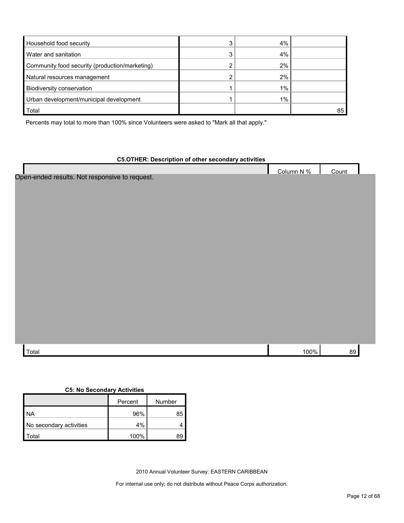| Household food security                        | ົ | 4% |    |
|------------------------------------------------|---|----|----|
| Water and sanitation                           | ົ | 4% |    |
| Community food security (production/marketing) |   | 2% |    |
| Natural resources management                   |   | 2% |    |
| Biodiversity conservation                      |   | 1% |    |
| Urban development/municipal development        |   | 1% |    |
| Total                                          |   |    | 85 |

Percents may total to more than 100% since Volunteers were asked to "Mark all that apply."

## **C5.OTHER: Description of other secondary activities**

|                                                | Column N % | Count |  |
|------------------------------------------------|------------|-------|--|
| Open-ended results. Not responsive to request. |            |       |  |
|                                                |            |       |  |
|                                                |            |       |  |
|                                                |            |       |  |
|                                                |            |       |  |
|                                                |            |       |  |
|                                                |            |       |  |
|                                                |            |       |  |
|                                                |            |       |  |
|                                                |            |       |  |
|                                                |            |       |  |
|                                                |            |       |  |
|                                                |            |       |  |
|                                                |            |       |  |
|                                                |            |       |  |
|                                                |            |       |  |
| Total                                          | 100%       | 89    |  |

#### **C5: No Secondary Activities**

|                         | Percent | Number |
|-------------------------|---------|--------|
| ΝA                      | 96%     | 85     |
| No secondary activities | 4%      |        |
| ʻotal                   | 100%    |        |

2010 Annual Volunteer Survey: EASTERN CARIBBEAN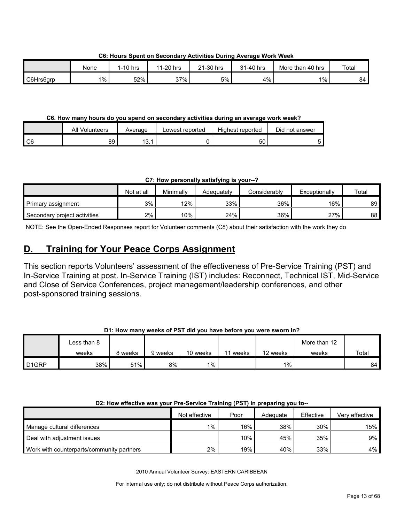None 1-10 hrs 11-20 hrs 21-30 hrs 31-40 hrs More than 40 hrs Total C6Hrs6grp 1% | 52% | 37% | 4% | 1% | 84

**C6: Hours Spent on Secondary Activities During Average Work Week**

## **C6. How many hours do you spend on secondary activities during an average work week?**

|                 | All Volunteers | Average     | Lowest reported | Highest reported | Did not answer |
|-----------------|----------------|-------------|-----------------|------------------|----------------|
| $\overline{C6}$ | 89             | 12<br>I J.I |                 | 50               |                |

**C7: How personally satisfying is your--?**

|                              | Not at all | Minimally | Adeauatelv | Considerablv | Exceptionally | Total |
|------------------------------|------------|-----------|------------|--------------|---------------|-------|
| Primary assignment           | 3%         | $12\%$    | 33%        | 36%          | $16\%$        | 89    |
| Secondary project activities | 2%         | 10%       | 24%        | 36%          | 27%           | 88    |

NOTE: See the Open-Ended Responses report for Volunteer comments (C8) about their satisfaction with the work they do

# <span id="page-12-0"></span>**D. Training for Your Peace Corps Assignment**

This section reports Volunteers' assessment of the effectiveness of Pre-Service Training (PST) and In-Service Training at post. In-Service Training (IST) includes: Reconnect, Technical IST, Mid-Service and Close of Service Conferences, project management/leadership conferences, and other post-sponsored training sessions.

## **D1: How many weeks of PST did you have before you were sworn in?**

|                    | ∟ess than 8 |         |         |          |       |          | More than 12 |       |
|--------------------|-------------|---------|---------|----------|-------|----------|--------------|-------|
|                    | weeks       | 8 weeks | 9 weeks | 10 weeks | weeks | 12 weeks | weeks        | Total |
| D <sub>1</sub> GRP | 38%         | 51%     | 8%      | $1\%$    |       | $1\%$    |              | 84    |

## **D2: How effective was your Pre-Service Training (PST) in preparing you to--**

|                                           | Not effective      | Poor | Adequate | Effective | Verv effective |
|-------------------------------------------|--------------------|------|----------|-----------|----------------|
| Manage cultural differences               | $1\%$ <sub>1</sub> | 16%  | 38%      | 30%       | $15\%$         |
| Deal with adjustment issues               |                    | 10%  | 45%      | 35%       | $9\%$ I        |
| Work with counterparts/community partners | 2%                 | 19%  | 40%      | 33%       | $4\%$ l        |

2010 Annual Volunteer Survey: EASTERN CARIBBEAN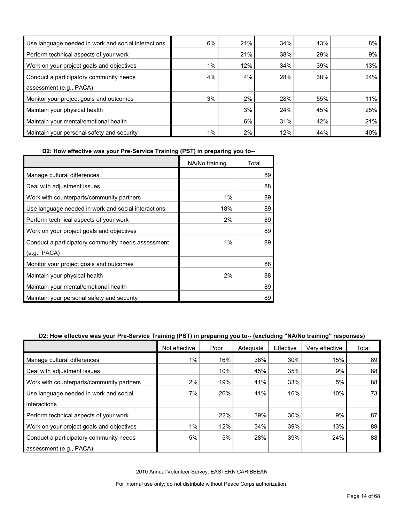| Use language needed in work and social interactions | 6%    | 21% | 34% | 13% | 8%     |
|-----------------------------------------------------|-------|-----|-----|-----|--------|
| Perform technical aspects of your work              |       | 21% | 38% | 29% | 9%     |
| Work on your project goals and objectives           | 1%    | 12% | 34% | 39% | 13%    |
| Conduct a participatory community needs             | 4%    | 4%  | 28% | 38% | 24%    |
| assessment (e.g., PACA)                             |       |     |     |     |        |
| Monitor your project goals and outcomes             | 3%    | 2%  | 28% | 55% | $11\%$ |
| Maintain your physical health                       |       | 3%  | 24% | 45% | 25%    |
| Maintain your mental/emotional health               |       | 6%  | 31% | 42% | 21%    |
| Maintain your personal safety and security          | $1\%$ | 2%  | 12% | 44% | 40%    |

**D2: How effective was your Pre-Service Training (PST) in preparing you to--**

|                                                     | NA/No training | Total |
|-----------------------------------------------------|----------------|-------|
| Manage cultural differences                         |                | 89    |
| Deal with adjustment issues                         |                | 88    |
| Work with counterparts/community partners           | 1%             | 89    |
| Use language needed in work and social interactions | 18%            | 89    |
| Perform technical aspects of your work              | 2%             | 89    |
| Work on your project goals and objectives           |                | 89    |
| Conduct a participatory community needs assessment  | $1\%$          | 89    |
| (e.g., PACA)                                        |                |       |
| Monitor your project goals and outcomes             |                | 88    |
| Maintain your physical health                       | 2%             | 88    |
| Maintain your mental/emotional health               |                | 89    |
| Maintain your personal safety and security          |                | 89    |

## **D2: How effective was your Pre-Service Training (PST) in preparing you to-- (excluding "NA/No training" responses)**

|                                           | Not effective | Poor | Adequate | Effective | Very effective | Total |
|-------------------------------------------|---------------|------|----------|-----------|----------------|-------|
| Manage cultural differences               | $1\%$         | 16%  | 38%      | 30%       | 15%            | 89    |
| Deal with adjustment issues               |               | 10%  | 45%      | 35%       | 9%             | 88    |
| Work with counterparts/community partners | 2%            | 19%  | 41%      | 33%       | 5%             | 88    |
| Use language needed in work and social    | 7%            | 26%  | 41%      | 16%       | 10%            | 73    |
| interactions                              |               |      |          |           |                |       |
| Perform technical aspects of your work    |               | 22%  | 39%      | 30%       | 9%             | 87    |
| Work on your project goals and objectives | 1%            | 12%  | 34%      | 39%       | 13%            | 89    |
| Conduct a participatory community needs   | 5%            | 5%   | 28%      | 39%       | 24%            | 88    |
| assessment (e.g., PACA)                   |               |      |          |           |                |       |

2010 Annual Volunteer Survey: EASTERN CARIBBEAN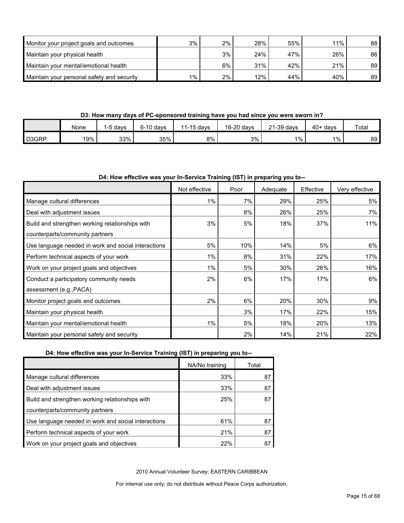| Monitor your project goals and outcomes    | 3%    | 2% | 28% | 55% | 11% | 88 <sup>1</sup> |
|--------------------------------------------|-------|----|-----|-----|-----|-----------------|
| Maintain your physical health              |       | 3% | 24% | 47% | 26% | 86              |
| Maintain your mental/emotional health      |       | 6% | 31% | 42% | 21% | 89              |
| Maintain your personal safety and security | $1\%$ | 2% | 12% | 44% | 40% | 89              |

## **D3: How many days of PC-sponsored training have you had since you were sworn in?**

|       | None | ∍davs | $6-10$ davs | 11-15 days | 16-20 davs | $21-39$ days | $40+$<br>davs | Total |
|-------|------|-------|-------------|------------|------------|--------------|---------------|-------|
| D3GRP | 19%  | 33%   | 35%         | 8%         | 3%         | $1\%$        | $1\%$         | 89    |

#### **D4: How effective was your In-Service Training (IST) in preparing you to--**

|                                                     | Not effective | Poor | Adequate | Effective | Very effective |
|-----------------------------------------------------|---------------|------|----------|-----------|----------------|
| Manage cultural differences                         | $1\%$         | 7%   | 29%      | 25%       | 5%             |
| Deal with adjustment issues                         |               | 8%   | 26%      | 25%       | 7%             |
| Build and strengthen working relationships with     | 3%            | 5%   | 18%      | 37%       | 11%            |
| counterparts/community partners                     |               |      |          |           |                |
| Use language needed in work and social interactions | 5%            | 10%  | 14%      | 5%        | 6%             |
| Perform technical aspects of your work              | $1\%$         | 8%   | 31%      | 22%       | 17%            |
| Work on your project goals and objectives           | 1%            | 5%   | 30%      | 26%       | 16%            |
| Conduct a participatory community needs             | 2%            | 6%   | 17%      | 17%       | 6%             |
| assessment (e.g., PACA)                             |               |      |          |           |                |
| Monitor project goals and outcomes                  | 2%            | 6%   | 20%      | 30%       | 9%             |
| Maintain your physical health                       |               | 3%   | 17%      | 22%       | 15%            |
| Maintain your mental/emotional health               | 1%            | 5%   | 18%      | 20%       | 13%            |
| Maintain your personal safety and security          |               | 2%   | 14%      | 21%       | 22%            |

## **D4: How effective was your In-Service Training (IST) in preparing you to--**

|                                                     | NA/No training | Total |
|-----------------------------------------------------|----------------|-------|
| Manage cultural differences                         | 33%            | 87    |
| Deal with adjustment issues                         | 33%            | 87    |
| Build and strengthen working relationships with     | 25%            | 87    |
| counterparts/community partners                     |                |       |
| Use language needed in work and social interactions | 61%            | 87    |
| Perform technical aspects of your work              | 21%            | 87    |
| Work on your project goals and objectives           | 22%            | 87    |

2010 Annual Volunteer Survey: EASTERN CARIBBEAN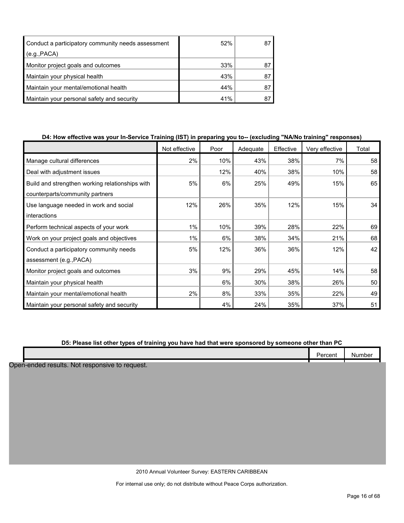| Conduct a participatory community needs assessment | 52% |    |
|----------------------------------------------------|-----|----|
| (e.g., PACA)                                       |     |    |
| Monitor project goals and outcomes                 | 33% | 87 |
| Maintain your physical health                      | 43% | 8  |
| Maintain your mental/emotional health              | 44% |    |
| Maintain your personal safety and security         | 41% |    |

## **D4: How effective was your In-Service Training (IST) in preparing you to-- (excluding "NA/No training" responses)**

|                                                 | Not effective | Poor | Adequate | Effective | Very effective | Total |
|-------------------------------------------------|---------------|------|----------|-----------|----------------|-------|
| Manage cultural differences                     | 2%            | 10%  | 43%      | 38%       | 7%             | 58    |
| Deal with adjustment issues                     |               | 12%  | 40%      | 38%       | 10%            | 58    |
| Build and strengthen working relationships with | 5%            | 6%   | 25%      | 49%       | 15%            | 65    |
| counterparts/community partners                 |               |      |          |           |                |       |
| Use language needed in work and social          | 12%           | 26%  | 35%      | 12%       | 15%            | 34    |
| interactions                                    |               |      |          |           |                |       |
| Perform technical aspects of your work          | 1%            | 10%  | 39%      | 28%       | 22%            | 69    |
| Work on your project goals and objectives       | 1%            | 6%   | 38%      | 34%       | 21%            | 68    |
| Conduct a participatory community needs         | 5%            | 12%  | 36%      | 36%       | 12%            | 42    |
| assessment (e.g., PACA)                         |               |      |          |           |                |       |
| Monitor project goals and outcomes              | 3%            | 9%   | 29%      | 45%       | 14%            | 58    |
| Maintain your physical health                   |               | 6%   | 30%      | 38%       | 26%            | 50    |
| Maintain your mental/emotional health           | 2%            | 8%   | 33%      | 35%       | 22%            | 49    |
| Maintain your personal safety and security      |               | 4%   | 24%      | 35%       | 37%            | 51    |

## **D5: Please list other types of training you have had that were sponsored by someone other than PC**

|                                                | Percent | Number |
|------------------------------------------------|---------|--------|
| Open-ended results. Not responsive to request. |         |        |
|                                                |         |        |
|                                                |         |        |
|                                                |         |        |
|                                                |         |        |
|                                                |         |        |
|                                                |         |        |
|                                                |         |        |
|                                                |         |        |

2010 Annual Volunteer Survey: EASTERN CARIBBEAN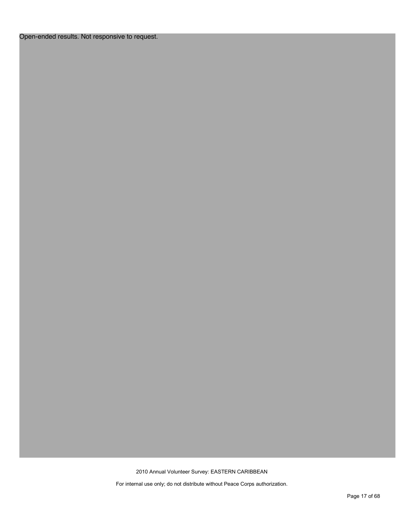## Open-ended results. Not responsive to request.

2010 Annual Volunteer Survey: EASTERN CARIBBEAN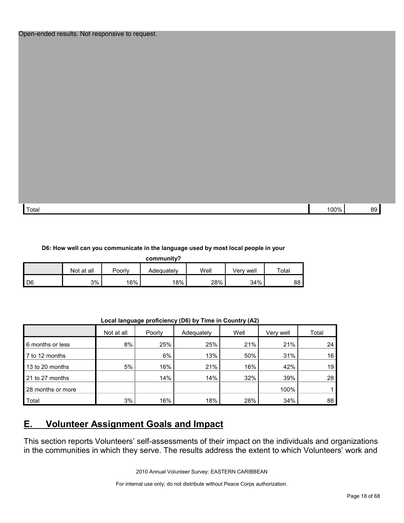| $\overline{\phantom{0}}$ | 100%                     | or |
|--------------------------|--------------------------|----|
|                          | $\overline{\phantom{a}}$ | ~  |
| Totai                    | $  -$                    | .  |

#### **D6: How well can you communicate in the language used by most local people in your**

| community?     |            |        |            |      |           |       |  |  |
|----------------|------------|--------|------------|------|-----------|-------|--|--|
|                | Not at all | Poorlv | Adequately | Well | Verv well | Total |  |  |
| D <sub>6</sub> | 3%         | 16%    | 18%        | 28%  | 34%       | 88    |  |  |

**Local language proficiency (D6) by Time in Country (A2)**

|                   | Not at all | Poorly | Adequately | Well | Very well | Total |
|-------------------|------------|--------|------------|------|-----------|-------|
| 6 months or less  | 8%         | 25%    | 25%        | 21%  | 21%       | 24    |
| 7 to 12 months    |            | 6%     | 13%        | 50%  | 31%       | 16    |
| 13 to 20 months   | 5%         | 16%    | 21%        | 16%  | 42%       | 19    |
| 21 to 27 months   |            | 14%    | 14%        | 32%  | 39%       | 28    |
| 28 months or more |            |        |            |      | 100%      |       |
| Total             | 3%         | 16%    | 18%        | 28%  | 34%       | 88    |

# <span id="page-17-0"></span>**E. Volunteer Assignment Goals and Impact**

This section reports Volunteers' self-assessments of their impact on the individuals and organizations in the communities in which they serve. The results address the extent to which Volunteers' work and

2010 Annual Volunteer Survey: EASTERN CARIBBEAN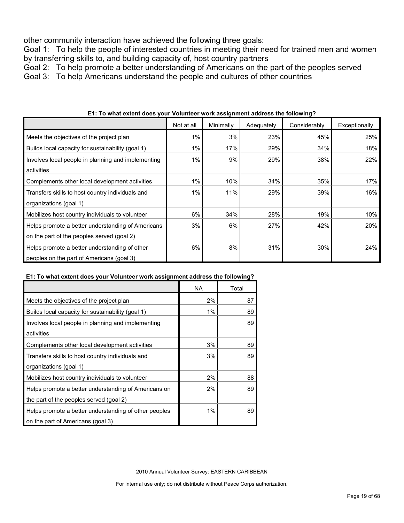other community interaction have achieved the following three goals:

Goal 1: To help the people of interested countries in meeting their need for trained men and women by transferring skills to, and building capacity of, host country partners

Goal 2: To help promote a better understanding of Americans on the part of the peoples served

Goal 3: To help Americans understand the people and cultures of other countries

|                                                    | Not at all | Minimally | Adequately | Considerably | Exceptionally |
|----------------------------------------------------|------------|-----------|------------|--------------|---------------|
| Meets the objectives of the project plan           | 1%         | 3%        | 23%        | 45%          | 25%           |
| Builds local capacity for sustainability (goal 1)  | 1%         | 17%       | 29%        | 34%          | 18%           |
| Involves local people in planning and implementing | 1%         | 9%        | 29%        | 38%          | 22%           |
| activities                                         |            |           |            |              |               |
| Complements other local development activities     | 1%         | 10%       | 34%        | 35%          | 17%           |
| Transfers skills to host country individuals and   | 1%         | 11%       | 29%        | 39%          | 16%           |
| organizations (goal 1)                             |            |           |            |              |               |
| Mobilizes host country individuals to volunteer    | 6%         | 34%       | 28%        | 19%          | 10%           |
| Helps promote a better understanding of Americans  | 3%         | 6%        | 27%        | 42%          | <b>20%</b>    |
| on the part of the peoples served (goal 2)         |            |           |            |              |               |
| Helps promote a better understanding of other      | 6%         | 8%        | 31%        | 30%          | 24%           |
| peoples on the part of Americans (goal 3)          |            |           |            |              |               |

**E1: To what extent does your Volunteer work assignment address the following?**

## **E1: To what extent does your Volunteer work assignment address the following?**

|                                                       | NA.   | Total |
|-------------------------------------------------------|-------|-------|
| Meets the objectives of the project plan              | 2%    | 87    |
| Builds local capacity for sustainability (goal 1)     | $1\%$ | 89    |
| Involves local people in planning and implementing    |       | 89    |
| activities                                            |       |       |
| Complements other local development activities        | 3%    | 89    |
| Transfers skills to host country individuals and      | 3%    | 89    |
| organizations (goal 1)                                |       |       |
| Mobilizes host country individuals to volunteer       | 2%    | 88    |
| Helps promote a better understanding of Americans on  | 2%    | 89    |
| the part of the peoples served (goal 2)               |       |       |
| Helps promote a better understanding of other peoples | $1\%$ | 89    |
| on the part of Americans (goal 3)                     |       |       |

2010 Annual Volunteer Survey: EASTERN CARIBBEAN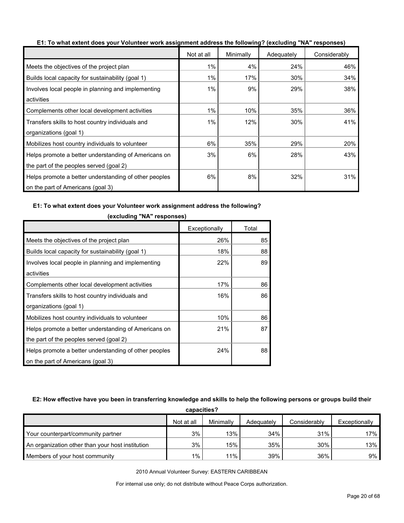|                                                       | Not at all | Minimally | Adequately | Considerably |
|-------------------------------------------------------|------------|-----------|------------|--------------|
| Meets the objectives of the project plan              | 1%         | 4%        | 24%        | 46%          |
| Builds local capacity for sustainability (goal 1)     | 1%         | 17%       | 30%        | 34%          |
| Involves local people in planning and implementing    | 1%         | 9%        | 29%        | 38%          |
| activities                                            |            |           |            |              |
| Complements other local development activities        | 1%         | 10%       | 35%        | 36%          |
| Transfers skills to host country individuals and      | 1%         | 12%       | 30%        | 41%          |
| organizations (goal 1)                                |            |           |            |              |
| Mobilizes host country individuals to volunteer       | 6%         | 35%       | 29%        | 20%          |
| Helps promote a better understanding of Americans on  | 3%         | 6%        | 28%        | 43%          |
| the part of the peoples served (goal 2)               |            |           |            |              |
| Helps promote a better understanding of other peoples | 6%         | 8%        | 32%        | 31%          |
| on the part of Americans (goal 3)                     |            |           |            |              |

**E1: To what extent does your Volunteer work assignment address the following? (excluding "NA" responses)**

#### **E1: To what extent does your Volunteer work assignment address the following?**

|                                                       | Exceptionally | Total |
|-------------------------------------------------------|---------------|-------|
| Meets the objectives of the project plan              | 26%           | 85    |
| Builds local capacity for sustainability (goal 1)     | 18%           | 88    |
| Involves local people in planning and implementing    | 22%           | 89    |
| activities                                            |               |       |
| Complements other local development activities        | 17%           | 86    |
| Transfers skills to host country individuals and      | 16%           | 86    |
| organizations (goal 1)                                |               |       |
| Mobilizes host country individuals to volunteer       | 10%           | 86    |
| Helps promote a better understanding of Americans on  | 21%           | 87    |
| the part of the peoples served (goal 2)               |               |       |
| Helps promote a better understanding of other peoples | 24%           | 88    |
| on the part of Americans (goal 3)                     |               |       |

**(excluding "NA" responses)**

#### **E2: How effective have you been in transferring knowledge and skills to help the following persons or groups build their**

| capacities?                                      |            |           |            |              |               |  |  |
|--------------------------------------------------|------------|-----------|------------|--------------|---------------|--|--|
|                                                  | Not at all | Minimally | Adequately | Considerably | Exceptionally |  |  |
| Your counterpart/community partner               | 3%         | 13%       | 34%        | 31%          | 17%           |  |  |
| An organization other than your host institution | 3%         | 15%       | 35%        | 30%          | 13%           |  |  |
| Members of your host community                   | $1\%$      | 11%       | 39%        | 36%          | 9%            |  |  |

2010 Annual Volunteer Survey: EASTERN CARIBBEAN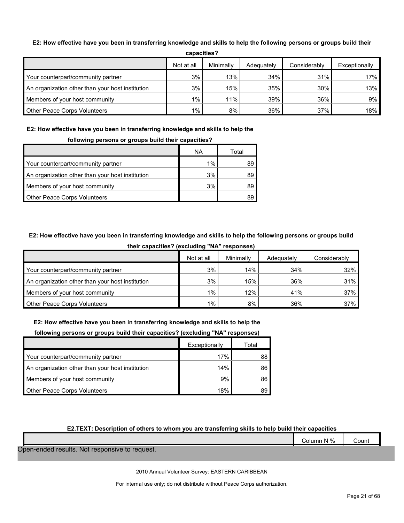#### **E2: How effective have you been in transferring knowledge and skills to help the following persons or groups build their**

| ,,,,,,,,,,,,,,,                                  |            |           |            |              |               |  |  |
|--------------------------------------------------|------------|-----------|------------|--------------|---------------|--|--|
|                                                  | Not at all | Minimally | Adequately | Considerably | Exceptionally |  |  |
| Your counterpart/community partner               | 3%         | 13%       | 34%        | 31%          | 17%           |  |  |
| An organization other than your host institution | 3%         | 15%       | 35%        | 30%          | 13%           |  |  |
| Members of your host community                   | $1\%$      | 11%       | 39%        | 36%          | 9%            |  |  |
| Other Peace Corps Volunteers                     | $1\%$      | 8%        | 36%        | 37%          | 18%           |  |  |

**capacities?**

## **E2: How effective have you been in transferring knowledge and skills to help the**

### **following persons or groups build their capacities?**

|                                                  | ΝA    | Total |
|--------------------------------------------------|-------|-------|
| Your counterpart/community partner               | $1\%$ |       |
| An organization other than your host institution | 3%    | 89    |
| Members of your host community                   | 3%    | 89    |
| Other Peace Corps Volunteers                     |       |       |

## **E2: How effective have you been in transferring knowledge and skills to help the following persons or groups build**

|                                                  | Not at all | Minimally | Adequately | Considerably |
|--------------------------------------------------|------------|-----------|------------|--------------|
| Your counterpart/community partner               | 3%         | 14%       | 34%        | 32%          |
| An organization other than your host institution | 3%         | 15%       | 36%        | 31%          |
| Members of your host community                   | $1\%$      | 12%       | 41%        | 37%          |
| <b>Other Peace Corps Volunteers</b>              | $1\%$      | 8%        | 36%        | 37%          |

#### **their capacities? (excluding "NA" responses)**

#### **E2: How effective have you been in transferring knowledge and skills to help the**

#### **following persons or groups build their capacities? (excluding "NA" responses)**

|                                                  | Exceptionally | Total |
|--------------------------------------------------|---------------|-------|
| Your counterpart/community partner               | 17%           | 88    |
| An organization other than your host institution | 14%           | 86    |
| Members of your host community                   | 9%            | 86    |
| Other Peace Corps Volunteers                     | 18%           | 89    |

### **E2.TEXT: Description of others to whom you are transferring skills to help build their capacities**

|                                                | Column N % | Count |
|------------------------------------------------|------------|-------|
| Open-ended results. Not responsive to request. |            |       |

2010 Annual Volunteer Survey: EASTERN CARIBBEAN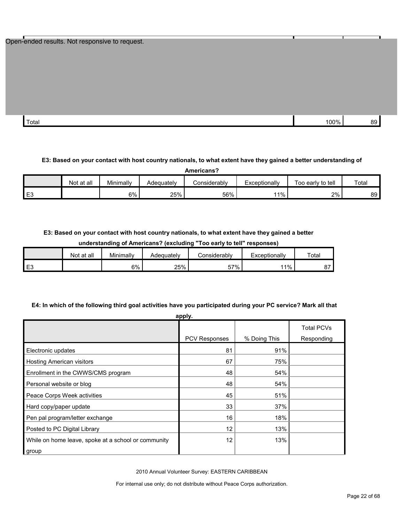| Open-ended results. Not responsive to request. |  |  |
|------------------------------------------------|--|--|
|------------------------------------------------|--|--|

| Total | 100% | n. |
|-------|------|----|
|       |      |    |

#### **E3: Based on your contact with host country nationals, to what extent have they gained a better understanding of**

| Americans?     |            |           |            |              |               |                   |       |
|----------------|------------|-----------|------------|--------------|---------------|-------------------|-------|
|                | Not at all | Minimally | Adequately | Considerably | Exceptionally | Too early to tell | Total |
| E <sub>3</sub> |            | 6%        | 25%        | 56%          | 11%           | 2%                | 89    |

#### **E3: Based on your contact with host country nationals, to what extent have they gained a better**

|    | understanding or Aniencans: revoluting<br>TOO GATTY LO LGIT TGSDOITSGS! |           |            |              |               |             |  |
|----|-------------------------------------------------------------------------|-----------|------------|--------------|---------------|-------------|--|
|    | Not at all                                                              | Minimally | Adeauatelv | Considerably | Exceptionally | $\tau$ otal |  |
| EЗ |                                                                         | 6%        | 25%        | 57%          | 11%           |             |  |

#### **understanding of Americans? (excluding "Too early to tell" responses)**

#### **E4: In which of the following third goal activities have you participated during your PC service? Mark all that**

| apply.                                              |               |              |                                 |  |  |  |
|-----------------------------------------------------|---------------|--------------|---------------------------------|--|--|--|
|                                                     | PCV Responses | % Doing This | <b>Total PCVs</b><br>Responding |  |  |  |
| Electronic updates                                  | 81            | 91%          |                                 |  |  |  |
| <b>Hosting American visitors</b>                    | 67            | 75%          |                                 |  |  |  |
| Enrollment in the CWWS/CMS program                  | 48            | 54%          |                                 |  |  |  |
| Personal website or blog                            | 48            | 54%          |                                 |  |  |  |
| Peace Corps Week activities                         | 45            | 51%          |                                 |  |  |  |
| Hard copy/paper update                              | 33            | 37%          |                                 |  |  |  |
| Pen pal program/letter exchange                     | 16            | 18%          |                                 |  |  |  |
| Posted to PC Digital Library                        | 12            | 13%          |                                 |  |  |  |
| While on home leave, spoke at a school or community | 12            | 13%          |                                 |  |  |  |
| group                                               |               |              |                                 |  |  |  |

2010 Annual Volunteer Survey: EASTERN CARIBBEAN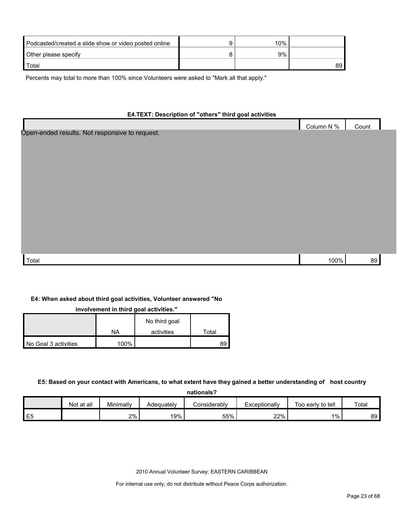| Podcasted/created a slide show or video posted online | 10% |      |
|-------------------------------------------------------|-----|------|
| Other please specify                                  | 9%  |      |
| Total                                                 |     | ا 89 |

Percents may total to more than 100% since Volunteers were asked to "Mark all that apply."

## **E4.TEXT: Description of "others" third goal activities**

|                                                | Column N % | Count |  |
|------------------------------------------------|------------|-------|--|
| Open-ended results. Not responsive to request. |            |       |  |
|                                                |            |       |  |
|                                                |            |       |  |
|                                                |            |       |  |
|                                                |            |       |  |
|                                                |            |       |  |
|                                                |            |       |  |
|                                                |            |       |  |
|                                                |            |       |  |
|                                                |            |       |  |
|                                                |            |       |  |
|                                                |            |       |  |
|                                                |            |       |  |
|                                                |            |       |  |
|                                                |            |       |  |
| Total                                          | 100%       | 89    |  |

#### **E4: When asked about third goal activities, Volunteer answered "No**

**involvement in third goal activities."** 

|                      |         | No third goal |       |
|----------------------|---------|---------------|-------|
|                      | NA      | activities    | Total |
| No Goal 3 activities | $100\%$ |               | 89    |

#### **E5: Based on your contact with Americans, to what extent have they gained a better understanding of host country**

| nationals?     |            |           |            |              |               |                   |       |  |  |  |
|----------------|------------|-----------|------------|--------------|---------------|-------------------|-------|--|--|--|
|                | Not at all | Minimally | Adeguatelv | Considerably | Exceptionally | Too early to tell | Total |  |  |  |
| E <sub>5</sub> |            | 2%        | 19%        | 55%          | 22%           | $1\%$             | 89 I  |  |  |  |

2010 Annual Volunteer Survey: EASTERN CARIBBEAN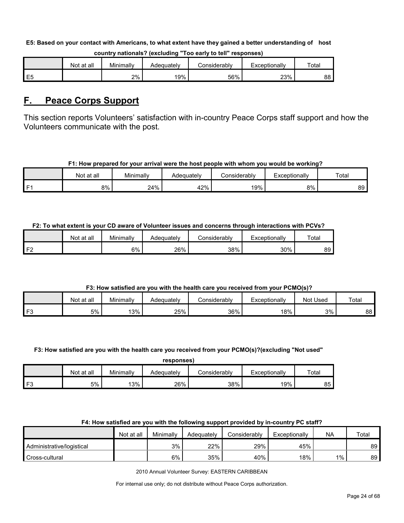#### **E5: Based on your contact with Americans, to what extent have they gained a better understanding of host**

|                | Not at all | Minimally | Adequatelv | :onsiderablv | Exceptionally | Total |
|----------------|------------|-----------|------------|--------------|---------------|-------|
| E <sub>5</sub> |            | 2%        | 19%        | 56%          | 23%           | 88    |

#### **country nationals? (excluding "Too early to tell" responses)**

## <span id="page-23-0"></span>**F. Peace Corps Support**

This section reports Volunteers' satisfaction with in-country Peace Corps staff support and how the Volunteers communicate with the post.

#### **F1: How prepared for your arrival were the host people with whom you would be working?**

|      | Not at all | Minimally | Adequatelv | Considerably | ⊺xceptionallv | Total |
|------|------------|-----------|------------|--------------|---------------|-------|
| l F1 | 8%         | 24%       | 42%        | 19%          | 8%            | 89    |

## **F2: To what extent is your CD aware of Volunteer issues and concerns through interactions with PCVs?**

|    | Not at all | Minimallv | Adequatelv | こonsiderablv | Exceptionally | Total |
|----|------------|-----------|------------|--------------|---------------|-------|
| ЕG |            | 6%        | 26%        | 38%          | 30%           | 89.   |

## **F3: How satisfied are you with the health care you received from your PCMO(s)?**

|    | at all<br>Not | Minimally | Adequately | Considerably | cxceptionally | Used<br>Not | Total |
|----|---------------|-----------|------------|--------------|---------------|-------------|-------|
| FЗ | $5\%$         | 3%        | 25%        | 36%          | 18%           | 3%          | 88    |

#### **F3: How satisfied are you with the health care you received from your PCMO(s)?(excluding "Not used"**

| responses |
|-----------|
|-----------|

|     | at all<br>Not | Minimally | Adeauatelv | onsiderablyٽ | Exceptionally | Total |
|-----|---------------|-----------|------------|--------------|---------------|-------|
| F3. | 5%            | 13%       | 26%        | 38%          | 19%           | 85    |

## **F4: How satisfied are you with the following support provided by in-country PC staff?**

|                           | Not at all | Minimally | Adequately | Considerably | Exceptionally | <b>NA</b> | Total |
|---------------------------|------------|-----------|------------|--------------|---------------|-----------|-------|
| Administrative/logistical |            | 3%        | 22%        | 29%          | 45%           |           | 89    |
| Cross-cultural            |            | 6%        | 35%        | 40%          | 18%           | $1\%$     | 89    |

2010 Annual Volunteer Survey: EASTERN CARIBBEAN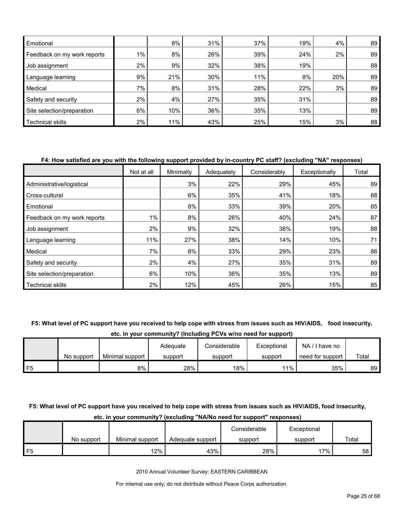| Emotional                   |       | 8%  | 31% | 37% | 19% | 4%  | 89 |
|-----------------------------|-------|-----|-----|-----|-----|-----|----|
| Feedback on my work reports | $1\%$ | 8%  | 26% | 39% | 24% | 2%  | 89 |
| Job assignment              | 2%    | 9%  | 32% | 38% | 19% |     | 88 |
| Language learning           | 9%    | 21% | 30% | 11% | 8%  | 20% | 89 |
| Medical                     | 7%    | 8%  | 31% | 28% | 22% | 3%  | 89 |
| Safety and security         | $2\%$ | 4%  | 27% | 35% | 31% |     | 89 |
| Site selection/preparation  | 6%    | 10% | 36% | 35% | 13% |     | 89 |
| Technical skills            | 2%    | 11% | 43% | 25% | 15% | 3%  | 88 |

#### **F4: How satisfied are you with the following support provided by in-country PC staff? (excluding "NA" responses)**

|                             | Not at all | Minimally | Adequately | Considerably | Exceptionally | Total |
|-----------------------------|------------|-----------|------------|--------------|---------------|-------|
| Administrative/logistical   |            | 3%        | 22%        | 29%          | 45%           | 89    |
| Cross-cultural              |            | 6%        | 35%        | 41%          | 18%           | 88    |
| Emotional                   |            | 8%        | 33%        | 39%          | 20%           | 85    |
| Feedback on my work reports | 1%         | 8%        | 26%        | 40%          | 24%           | 87    |
| Job assignment              | 2%         | 9%        | 32%        | 38%          | 19%           | 88    |
| Language learning           | 11%        | 27%       | 38%        | 14%          | 10%           | 71    |
| Medical                     | 7%         | 8%        | 33%        | 29%          | 23%           | 86    |
| Safety and security         | 2%         | 4%        | 27%        | 35%          | 31%           | 89    |
| Site selection/preparation  | 6%         | 10%       | 36%        | 35%          | 13%           | 89    |
| <b>Technical skills</b>     | 2%         | 12%       | 45%        | 26%          | 15%           | 85    |

#### **F5: What level of PC support have you received to help cope with stress from issues such as HIV/AIDS, food insecurity,**

**etc. in your community? (Including PCVs w/no need for support)**

|    |            |                 | Adequate | Considerable | Exceptional | NA.<br>I have no |       |
|----|------------|-----------------|----------|--------------|-------------|------------------|-------|
|    | No support | Minimal support | support  | support      | support     | need for support | Total |
| F5 |            | 8%              | 28%      | 18%          | 11%         | 35%              | 89    |

## **F5: What level of PC support have you received to help cope with stress from issues such as HIV/AIDS, food insecurity,**

|    |            |                 |                  | Considerable | Exceptional |       |
|----|------------|-----------------|------------------|--------------|-------------|-------|
|    | No support | Minimal support | Adequate support | support      | support     | Total |
| F5 |            | 12%             | 43%              | 28%          | $17\%$      | 58    |

## **etc. in your community? (excluding "NA/No need for support" responses)**

2010 Annual Volunteer Survey: EASTERN CARIBBEAN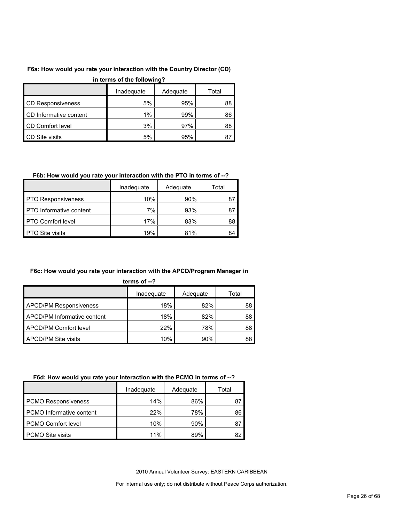## **F6a: How would you rate your interaction with the Country Director (CD)**

|                          | In terms of the following? |          |       |
|--------------------------|----------------------------|----------|-------|
|                          | Inadequate                 | Adequate | Total |
| <b>CD Responsiveness</b> | 5%                         | 95%      | 88    |
| CD Informative content   | 1%                         | 99%      | 86    |
| <b>CD Comfort level</b>  | 3%                         | 97%      | 88    |
| CD Site visits           | 5%                         | 95%      | 87    |

## **in terms of the following?**

## **F6b: How would you rate your interaction with the PTO in terms of --?**

|                                | Inadequate | Adequate | Total |
|--------------------------------|------------|----------|-------|
| <b>PTO Responsiveness</b>      | 10%        | 90%      |       |
| <b>PTO</b> Informative content | 7%         | 93%      | 87    |
| <b>PTO Comfort level</b>       | 17%        | 83%      | 88    |
| <b>PTO Site visits</b>         | 19%        | 81%      | 84    |

## **F6c: How would you rate your interaction with the APCD/Program Manager in**

| 15<br>r<br>ш |
|--------------|
|--------------|

|                                    | Inadequate | Adequate | Total |
|------------------------------------|------------|----------|-------|
| <b>APCD/PM Responsiveness</b>      | 18%        | 82%      | 88    |
| <b>APCD/PM Informative content</b> | 18%        | 82%      | 88    |
| APCD/PM Comfort level              | 22%        | 78%      | 88    |
| <b>APCD/PM Site visits</b>         | 10%        | 90%      | 88    |

## **F6d: How would you rate your interaction with the PCMO in terms of --?**

|                            | Inadeguate | Adequate | Total |
|----------------------------|------------|----------|-------|
| <b>PCMO Responsiveness</b> | 14%        | 86%      |       |
| PCMO Informative content   | 22%        | 78%      | 86    |
| <b>PCMO Comfort level</b>  | 10%        | 90%      | 87    |
| <b>PCMO Site visits</b>    | 11%        | 89%      | 82    |

2010 Annual Volunteer Survey: EASTERN CARIBBEAN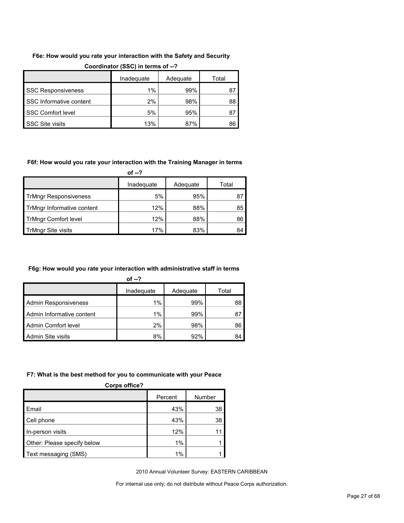## **F6e: How would you rate your interaction with the Safety and Security**

|                           | Inadequate | Adequate | Total |
|---------------------------|------------|----------|-------|
| <b>SSC Responsiveness</b> | $1\%$      | 99%      | 87    |
| SSC Informative content   | 2%         | 98%      | 88    |
| <b>SSC Comfort level</b>  | 5%         | 95%      | 87    |
| <b>SSC Site visits</b>    | 13%        | 87%      | 86    |

#### **Coordinator (SSC) in terms of --?**

#### **F6f: How would you rate your interaction with the Training Manager in terms**

**of --?**

|                              | Inadequate | Adequate | Total |
|------------------------------|------------|----------|-------|
| <b>TrMngr Responsiveness</b> | 5%         | 95%      |       |
| TrMngr Informative content   | 12%        | 88%      | 85    |
| <b>TrMngr Comfort level</b>  | 12%        | 88%      | 86    |
| TrMngr Site visits           | 17%        | 83%      | 84    |

#### **F6g: How would you rate your interaction with administrative staff in terms**

|                             | of $-2$    |          |       |
|-----------------------------|------------|----------|-------|
|                             | Inadequate | Adequate | Total |
| <b>Admin Responsiveness</b> | $1\%$      | 99%      | 88    |
| Admin Informative content   | 1%         | 99%      | 87    |
| Admin Comfort level         | 2%         | 98%      | 86    |
| Admin Site visits           | 8%         | 92%      | 84    |

#### **F7: What is the best method for you to communicate with your Peace**

| Corps office?               |         |        |
|-----------------------------|---------|--------|
|                             | Percent | Number |
| Email                       | 43%     | 38     |
| Cell phone                  | 43%     | 38     |
| In-person visits            | 12%     |        |
| Other: Please specify below | 1%      |        |
| Text messaging (SMS)        | 1%      |        |

2010 Annual Volunteer Survey: EASTERN CARIBBEAN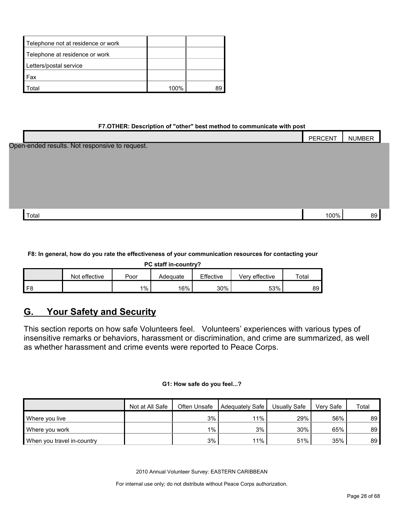| Telephone not at residence or work |      |  |
|------------------------------------|------|--|
| Telephone at residence or work     |      |  |
| Letters/postal service             |      |  |
| Fax                                |      |  |
| otal                               | 100% |  |

#### **F7.OTHER: Description of "other" best method to communicate with post**

|                                                | PERCENT | <b>NUMBER</b> |
|------------------------------------------------|---------|---------------|
| Open-ended results. Not responsive to request. |         |               |
|                                                |         |               |
|                                                |         |               |
|                                                |         |               |
|                                                |         |               |
|                                                |         |               |
| Total                                          | 100%    | 89            |

#### **F8: In general, how do you rate the effectiveness of your communication resources for contacting your**

| PC staff in-country?                                                      |  |         |     |     |     |    |  |  |  |  |  |
|---------------------------------------------------------------------------|--|---------|-----|-----|-----|----|--|--|--|--|--|
| Effective<br>Not effective<br>Total<br>Verv effective<br>Poor<br>Adeɑuate |  |         |     |     |     |    |  |  |  |  |  |
|                                                                           |  | $1\%$ , | 16% | 30% | 53% | 89 |  |  |  |  |  |

# <span id="page-27-0"></span>**G. Your Safety and Security**

This section reports on how safe Volunteers feel. Volunteers' experiences with various types of insensitive remarks or behaviors, harassment or discrimination, and crime are summarized, as well as whether harassment and crime events were reported to Peace Corps.

#### **G1: How safe do you feel...?**

|                            | Not at All Safe | Often Unsafe | Adequately Safe I | Usually Safe | Verv Safe | Total           |
|----------------------------|-----------------|--------------|-------------------|--------------|-----------|-----------------|
| Where you live             |                 | 3%           | 11%               | 29%          | 56%       | 89 I            |
| Where you work             |                 | $1\%$        | 3%                | 30%          | 65%       | 89 <sup>°</sup> |
| When you travel in-country |                 | 3%           | 11%               | 51%          | 35%       | 89              |

2010 Annual Volunteer Survey: EASTERN CARIBBEAN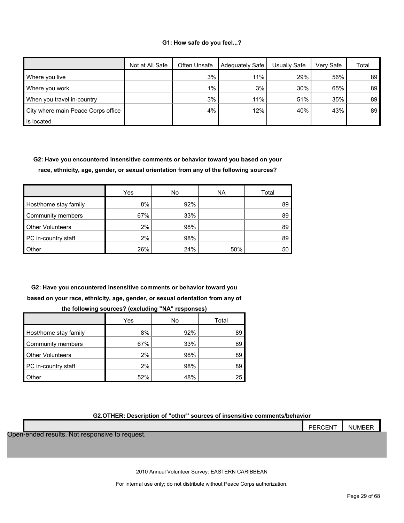#### **G1: How safe do you feel...?**

|                                    | Not at All Safe | Often Unsafe | <b>Adequately Safe</b> | Usually Safe | Verv Safe | Total |
|------------------------------------|-----------------|--------------|------------------------|--------------|-----------|-------|
| Where you live                     |                 | 3%           | 11%                    | 29%          | 56%       | 89    |
| Where you work                     |                 | $1\%$        | 3%                     | 30%          | 65%       | 89    |
| When you travel in-country         |                 | 3%           | 11%                    | 51%          | 35%       | 89    |
| City where main Peace Corps office |                 | 4%           | 12%                    | 40%          | 43%       | 89    |
| is located                         |                 |              |                        |              |           |       |

**G2: Have you encountered insensitive comments or behavior toward you based on your race, ethnicity, age, gender, or sexual orientation from any of the following sources?**

|                         | Yes | No  | <b>NA</b> | Total |
|-------------------------|-----|-----|-----------|-------|
| Host/home stay family   | 8%  | 92% |           | 89    |
| Community members       | 67% | 33% |           | 89    |
| <b>Other Volunteers</b> | 2%  | 98% |           | 89    |
| PC in-country staff     | 2%  | 98% |           | 89    |
| Other                   | 26% | 24% | 50%       | 50    |

**G2: Have you encountered insensitive comments or behavior toward you based on your race, ethnicity, age, gender, or sexual orientation from any of** 

|                         | Yes | No  | Total |
|-------------------------|-----|-----|-------|
| Host/home stay family   | 8%  | 92% | 89    |
| Community members       | 67% | 33% | 89    |
| <b>Other Volunteers</b> | 2%  | 98% | 89    |
| PC in-country staff     | 2%  | 98% | 89    |
| Other                   | 52% | 48% | 25    |

|  |  | the following sources? (excluding "NA" responses) |  |
|--|--|---------------------------------------------------|--|
|  |  |                                                   |  |

#### **G2.OTHER: Description of "other" sources of insensitive comments/behavior**

|                                                | <b>PERCENT</b> | <b>NUMBER</b> |
|------------------------------------------------|----------------|---------------|
| Open-ended results. Not responsive to request. |                |               |
|                                                |                |               |
|                                                |                |               |
|                                                |                |               |

2010 Annual Volunteer Survey: EASTERN CARIBBEAN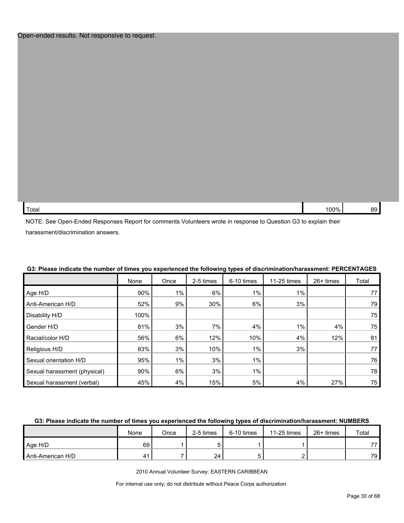| Total | ነበበ%<br>ັ |  |
|-------|-----------|--|
|       |           |  |

NOTE: See Open-Ended Responses Report for comments Volunteers wrote in response to Question G3 to explain their harassment/discrimination answers.

|                              | None | Once  | 2-5 times | 6-10 times | 11-25 times | 26+ times | Total |
|------------------------------|------|-------|-----------|------------|-------------|-----------|-------|
| Age H/D                      | 90%  | 1%    | 6%        | $1\%$      | $1\%$       |           | 77    |
| Anti-American H/D            | 52%  | 9%    | 30%       | 6%         | 3%          |           | 79    |
| Disability H/D               | 100% |       |           |            |             |           | 75    |
| Gender H/D                   | 81%  | 3%    | 7%        | 4%         | $1\%$       | 4%        | 75    |
| Racial/color H/D             | 56%  | 6%    | 12%       | 10%        | 4%          | 12%       | 81    |
| Religious H/D                | 83%  | 3%    | 10%       | $1\%$      | 3%          |           | 77    |
| Sexual orientation H/D       | 95%  | $1\%$ | 3%        | $1\%$      |             |           | 76    |
| Sexual harassment (physical) | 90%  | 6%    | 3%        | $1\%$      |             |           | 78    |
| Sexual harassment (verbal)   | 45%  | 4%    | 15%       | 5%         | 4%          | 27%       | 75    |

## **G3: Please indicate the number of times you experienced the following types of discrimination/harassment: PERCENTAGES**

#### **G3: Please indicate the number of times you experienced the following types of discrimination/harassment: NUMBERS**

|                   | None | Once | 2-5 times | 6-10 times | $11-25$ times | 26+ times | Total |
|-------------------|------|------|-----------|------------|---------------|-----------|-------|
| Age H/D           | 69   |      |           |            |               |           | 77    |
| Anti-American H/D | 41   |      | 24        |            |               |           | 79    |

2010 Annual Volunteer Survey: EASTERN CARIBBEAN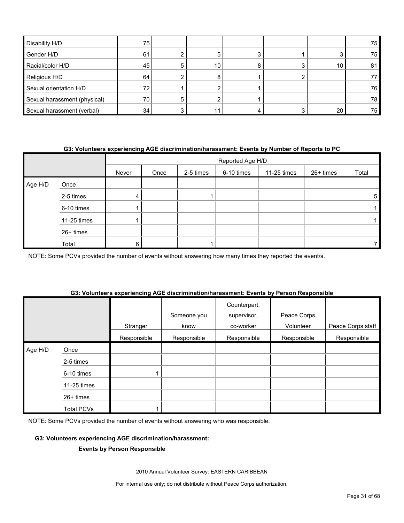| Disability H/D               | 75              |    |  |    | 75          |
|------------------------------|-----------------|----|--|----|-------------|
| Gender H/D                   | 61              |    |  |    | 75          |
| Racial/color H/D             | 45              | 10 |  | 10 | 81          |
| Religious H/D                | 64              |    |  |    |             |
| Sexual orientation H/D       | 72.             |    |  |    | 76          |
| Sexual harassment (physical) | 70              |    |  |    | 78          |
| Sexual harassment (verbal)   | 34 <sub>1</sub> |    |  | 20 | 75 <b> </b> |

#### **G3: Volunteers experiencing AGE discrimination/harassment: Events by Number of Reports to PC**

|         |             |       | Reported Age H/D |           |            |             |           |       |  |
|---------|-------------|-------|------------------|-----------|------------|-------------|-----------|-------|--|
|         |             | Never | Once             | 2-5 times | 6-10 times | 11-25 times | 26+ times | Total |  |
| Age H/D | Once        |       |                  |           |            |             |           |       |  |
|         | 2-5 times   | 4     |                  |           |            |             |           | 5     |  |
|         | 6-10 times  |       |                  |           |            |             |           |       |  |
|         | 11-25 times |       |                  |           |            |             |           |       |  |
|         | 26+ times   |       |                  |           |            |             |           |       |  |
|         | Total       | 6     |                  |           |            |             |           |       |  |

NOTE: Some PCVs provided the number of events without answering how many times they reported the event/s.

#### **G3: Volunteers experiencing AGE discrimination/harassment: Events by Person Responsible**

|         |                   | Stranger    | Someone you<br>know | Counterpart,<br>supervisor,<br>co-worker | Peace Corps<br>Volunteer | Peace Corps staff |
|---------|-------------------|-------------|---------------------|------------------------------------------|--------------------------|-------------------|
|         |                   | Responsible | Responsible         | Responsible                              | Responsible              | Responsible       |
| Age H/D | Once              |             |                     |                                          |                          |                   |
|         | 2-5 times         |             |                     |                                          |                          |                   |
|         | 6-10 times        |             |                     |                                          |                          |                   |
|         | 11-25 times       |             |                     |                                          |                          |                   |
|         | 26+ times         |             |                     |                                          |                          |                   |
|         | <b>Total PCVs</b> |             |                     |                                          |                          |                   |

NOTE: Some PCVs provided the number of events without answering who was responsible.

#### **G3: Volunteers experiencing AGE discrimination/harassment:**

#### **Events by Person Responsible**

2010 Annual Volunteer Survey: EASTERN CARIBBEAN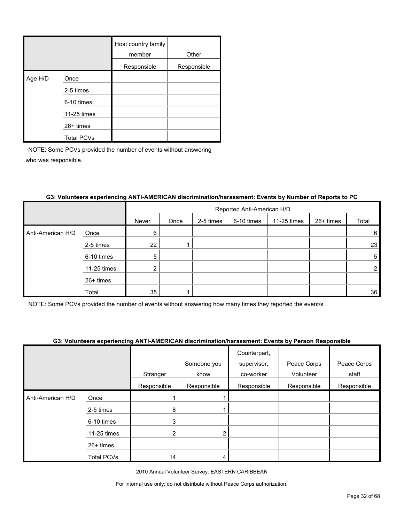|         |                   | Host country family<br>member | Other       |
|---------|-------------------|-------------------------------|-------------|
|         |                   | Responsible                   | Responsible |
| Age H/D | Once              |                               |             |
|         | 2-5 times         |                               |             |
|         | 6-10 times        |                               |             |
|         | 11-25 times       |                               |             |
|         | $26+$ times       |                               |             |
|         | <b>Total PCVs</b> |                               |             |

|                   |             |       | Reported Anti-American H/D |           |            |             |           |                |  |
|-------------------|-------------|-------|----------------------------|-----------|------------|-------------|-----------|----------------|--|
|                   |             | Never | Once                       | 2-5 times | 6-10 times | 11-25 times | 26+ times | Total          |  |
| Anti-American H/D | Once        | 6     |                            |           |            |             |           | 6              |  |
|                   | 2-5 times   | 22    |                            |           |            |             |           | 23             |  |
|                   | 6-10 times  | 5     |                            |           |            |             |           | 5              |  |
|                   | 11-25 times | ◠     |                            |           |            |             |           | $\overline{2}$ |  |
|                   | 26+ times   |       |                            |           |            |             |           |                |  |
|                   | Total       | 35    |                            |           |            |             |           | 36             |  |

#### **G3: Volunteers experiencing ANTI-AMERICAN discrimination/harassment: Events by Number of Reports to PC**

NOTE: Some PCVs provided the number of events without answering how many times they reported the event/s .

## **G3: Volunteers experiencing ANTI-AMERICAN discrimination/harassment: Events by Person Responsible**

|                   |             |             |                | Counterpart, |             |             |
|-------------------|-------------|-------------|----------------|--------------|-------------|-------------|
|                   |             |             | Someone you    | supervisor,  | Peace Corps | Peace Corps |
|                   |             | Stranger    | know           | co-worker    | Volunteer   | staff       |
|                   |             | Responsible | Responsible    | Responsible  | Responsible | Responsible |
| Anti-American H/D | Once        |             |                |              |             |             |
|                   | 2-5 times   | 8           |                |              |             |             |
|                   | 6-10 times  | 3           |                |              |             |             |
|                   | 11-25 times |             | $\overline{2}$ |              |             |             |
|                   | $26+$ times |             |                |              |             |             |
|                   | Total PCVs  | 14          | 4              |              |             |             |

2010 Annual Volunteer Survey: EASTERN CARIBBEAN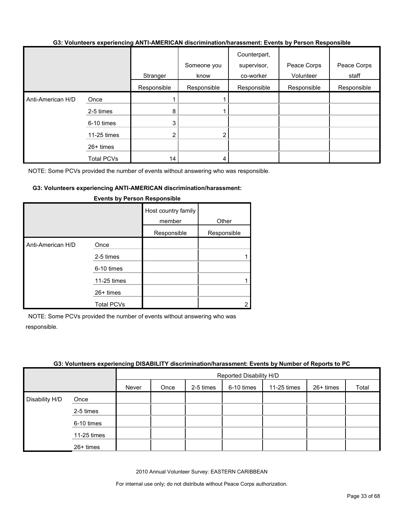#### **G3: Volunteers experiencing ANTI-AMERICAN discrimination/harassment: Events by Person Responsible**

|                   |                   | Stranger       | Someone you<br>know | Counterpart,<br>supervisor,<br>co-worker | Peace Corps<br>Volunteer | Peace Corps<br>staff |
|-------------------|-------------------|----------------|---------------------|------------------------------------------|--------------------------|----------------------|
|                   |                   | Responsible    | Responsible         | Responsible                              | Responsible              | Responsible          |
| Anti-American H/D | Once              |                |                     |                                          |                          |                      |
|                   | 2-5 times         | 8              |                     |                                          |                          |                      |
|                   | 6-10 times        | 3              |                     |                                          |                          |                      |
|                   | 11-25 times       | $\overline{2}$ | $\overline{2}$      |                                          |                          |                      |
|                   | $26+$ times       |                |                     |                                          |                          |                      |
|                   | <b>Total PCVs</b> | 14             | 4                   |                                          |                          |                      |

NOTE: Some PCVs provided the number of events without answering who was responsible.

#### **G3: Volunteers experiencing ANTI-AMERICAN discrimination/harassment:**

|                   |                   | Host country family<br>member<br>Responsible | Other<br>Responsible |
|-------------------|-------------------|----------------------------------------------|----------------------|
| Anti-American H/D | Once              |                                              |                      |
|                   | 2-5 times         |                                              |                      |
|                   | 6-10 times        |                                              |                      |
|                   | 11-25 times       |                                              |                      |
|                   | 26+ times         |                                              |                      |
|                   | <b>Total PCVs</b> |                                              |                      |

#### **Events by Person Responsible**

NOTE: Some PCVs provided the number of events without answering who was responsible.

#### **G3: Volunteers experiencing DISABILITY discrimination/harassment: Events by Number of Reports to PC**

|                |             |       | Reported Disability H/D |           |            |             |           |       |  |
|----------------|-------------|-------|-------------------------|-----------|------------|-------------|-----------|-------|--|
|                |             | Never | Once                    | 2-5 times | 6-10 times | 11-25 times | 26+ times | Total |  |
| Disability H/D | Once        |       |                         |           |            |             |           |       |  |
|                | 2-5 times   |       |                         |           |            |             |           |       |  |
|                | 6-10 times  |       |                         |           |            |             |           |       |  |
|                | 11-25 times |       |                         |           |            |             |           |       |  |
|                | 26+ times   |       |                         |           |            |             |           |       |  |

2010 Annual Volunteer Survey: EASTERN CARIBBEAN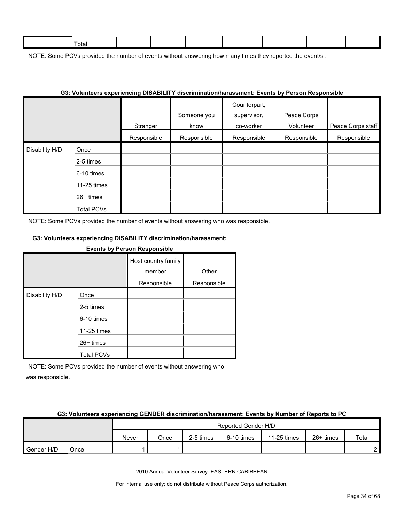| ctal |  |  |  |  |
|------|--|--|--|--|
|      |  |  |  |  |

NOTE: Some PCVs provided the number of events without answering how many times they reported the event/s.

|                |                   |             | G3: VOIUNteers experiencing DISABILITY discrimination/narassment: Events by Person Responsible |                                          |                          |                   |
|----------------|-------------------|-------------|------------------------------------------------------------------------------------------------|------------------------------------------|--------------------------|-------------------|
|                |                   | Stranger    | Someone you<br>know                                                                            | Counterpart,<br>supervisor,<br>co-worker | Peace Corps<br>Volunteer | Peace Corps staff |
|                |                   | Responsible | Responsible                                                                                    | Responsible                              | Responsible              | Responsible       |
| Disability H/D | Once              |             |                                                                                                |                                          |                          |                   |
|                | 2-5 times         |             |                                                                                                |                                          |                          |                   |
|                | 6-10 times        |             |                                                                                                |                                          |                          |                   |
|                | 11-25 times       |             |                                                                                                |                                          |                          |                   |
|                | 26+ times         |             |                                                                                                |                                          |                          |                   |
|                | <b>Total PCVs</b> |             |                                                                                                |                                          |                          |                   |

#### **G3: Volunteers experiencing DISABILITY discrimination/harassment: Events by Person Responsible**

NOTE: Some PCVs provided the number of events without answering who was responsible.

#### **G3: Volunteers experiencing DISABILITY discrimination/harassment:**

| EXERIS DY LEISOR DESPORSING |                   |                     |             |  |  |  |  |  |  |  |
|-----------------------------|-------------------|---------------------|-------------|--|--|--|--|--|--|--|
|                             |                   | Host country family |             |  |  |  |  |  |  |  |
|                             |                   | member              | Other       |  |  |  |  |  |  |  |
|                             |                   | Responsible         | Responsible |  |  |  |  |  |  |  |
| Disability H/D              | Once              |                     |             |  |  |  |  |  |  |  |
|                             | 2-5 times         |                     |             |  |  |  |  |  |  |  |
|                             | 6-10 times        |                     |             |  |  |  |  |  |  |  |
|                             | 11-25 times       |                     |             |  |  |  |  |  |  |  |
|                             | $26+$ times       |                     |             |  |  |  |  |  |  |  |
|                             | <b>Total PCVs</b> |                     |             |  |  |  |  |  |  |  |

**Events by Person Responsible**

NOTE: Some PCVs provided the number of events without answering who was responsible.

#### **G3: Volunteers experiencing GENDER discrimination/harassment: Events by Number of Reports to PC**

|            |      | Reported Gender H/D |      |           |            |             |             |       |
|------------|------|---------------------|------|-----------|------------|-------------|-------------|-------|
|            |      | Never               | Once | 2-5 times | 6-10 times | 11-25 times | $26+$ times | Total |
| Gender H/D | Once |                     |      |           |            |             |             | ົ     |

2010 Annual Volunteer Survey: EASTERN CARIBBEAN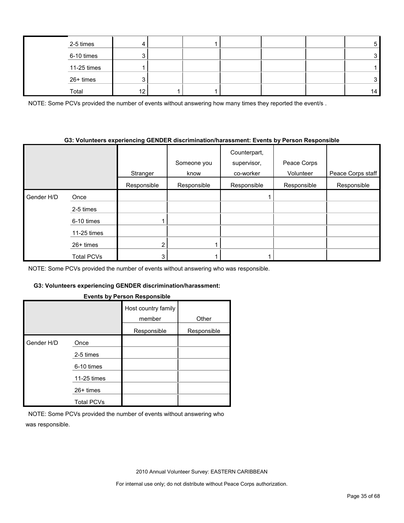| 2-5 times   |        |  |  | ີ   |
|-------------|--------|--|--|-----|
| 6-10 times  |        |  |  |     |
| 11-25 times |        |  |  |     |
| 26+ times   |        |  |  |     |
| Total       | $\sim$ |  |  | 14. |

NOTE: Some PCVs provided the number of events without answering how many times they reported the event/s.

#### **G3: Volunteers experiencing GENDER discrimination/harassment: Events by Person Responsible**

|            |             |             |             | Counterpart, |             |                   |
|------------|-------------|-------------|-------------|--------------|-------------|-------------------|
|            |             |             | Someone you | supervisor,  | Peace Corps |                   |
|            |             | Stranger    | know        | co-worker    | Volunteer   | Peace Corps staff |
|            |             | Responsible | Responsible | Responsible  | Responsible | Responsible       |
| Gender H/D | Once        |             |             |              |             |                   |
|            | 2-5 times   |             |             |              |             |                   |
|            | 6-10 times  |             |             |              |             |                   |
|            | 11-25 times |             |             |              |             |                   |
|            | $26+$ times |             |             |              |             |                   |
|            | Total PCVs  |             |             |              |             |                   |

NOTE: Some PCVs provided the number of events without answering who was responsible.

## **G3: Volunteers experiencing GENDER discrimination/harassment:**

#### **Events by Person Responsible**

|            |                   | Host country family<br>member | Other       |
|------------|-------------------|-------------------------------|-------------|
|            |                   | Responsible                   | Responsible |
| Gender H/D | Once              |                               |             |
|            | 2-5 times         |                               |             |
|            | 6-10 times        |                               |             |
|            | 11-25 times       |                               |             |
|            | $26+$ times       |                               |             |
|            | <b>Total PCVs</b> |                               |             |

NOTE: Some PCVs provided the number of events without answering who was responsible.

2010 Annual Volunteer Survey: EASTERN CARIBBEAN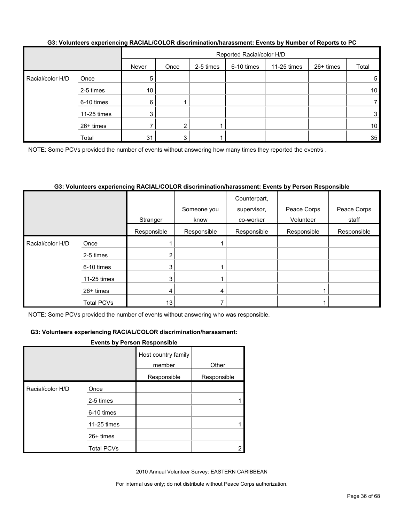| <u>ool tolalitoolo okkolloiloilig la telles ossoit alooliiliillataoliilialaoliitoitti si ollio ny litaliinol oli topolto to lie</u> |             |       |                           |           |            |             |           |       |  |  |
|-------------------------------------------------------------------------------------------------------------------------------------|-------------|-------|---------------------------|-----------|------------|-------------|-----------|-------|--|--|
|                                                                                                                                     |             |       | Reported Racial/color H/D |           |            |             |           |       |  |  |
|                                                                                                                                     |             | Never | Once                      | 2-5 times | 6-10 times | 11-25 times | 26+ times | Total |  |  |
| Racial/color H/D                                                                                                                    | Once        | 5     |                           |           |            |             |           | 5     |  |  |
|                                                                                                                                     | 2-5 times   | 10    |                           |           |            |             |           | 10    |  |  |
|                                                                                                                                     | 6-10 times  | 6     |                           |           |            |             |           |       |  |  |
|                                                                                                                                     | 11-25 times | 3     |                           |           |            |             |           | 3     |  |  |
|                                                                                                                                     | 26+ times   |       | 2 <sub>1</sub>            |           |            |             |           | 10    |  |  |
|                                                                                                                                     | Total       | 31    |                           |           |            |             |           | 35    |  |  |

#### **G3: Volunteers experiencing RACIAL/COLOR discrimination/harassment: Events by Number of Reports to PC**

NOTE: Some PCVs provided the number of events without answering how many times they reported the event/s.

#### **G3: Volunteers experiencing RACIAL/COLOR discrimination/harassment: Events by Person Responsible**

|                  |                   | Stranger    | Someone you<br>know | Counterpart,<br>supervisor,<br>co-worker | Peace Corps<br>Volunteer | Peace Corps<br>staff |
|------------------|-------------------|-------------|---------------------|------------------------------------------|--------------------------|----------------------|
|                  |                   | Responsible | Responsible         | Responsible                              | Responsible              | Responsible          |
| Racial/color H/D | Once              |             |                     |                                          |                          |                      |
|                  | 2-5 times         |             |                     |                                          |                          |                      |
|                  | 6-10 times        | 3           |                     |                                          |                          |                      |
|                  | 11-25 times       | 3           |                     |                                          |                          |                      |
|                  | 26+ times         |             | 4                   |                                          |                          |                      |
|                  | <b>Total PCVs</b> | 13          |                     |                                          |                          |                      |

NOTE: Some PCVs provided the number of events without answering who was responsible.

#### **G3: Volunteers experiencing RACIAL/COLOR discrimination/harassment:**

#### **Events by Person Responsible**

|                  |                   | Host country family<br>member | Other       |
|------------------|-------------------|-------------------------------|-------------|
|                  |                   | Responsible                   | Responsible |
| Racial/color H/D | Once              |                               |             |
|                  | 2-5 times         |                               |             |
|                  | 6-10 times        |                               |             |
|                  | 11-25 times       |                               |             |
|                  | 26+ times         |                               |             |
|                  | <b>Total PCVs</b> |                               |             |

2010 Annual Volunteer Survey: EASTERN CARIBBEAN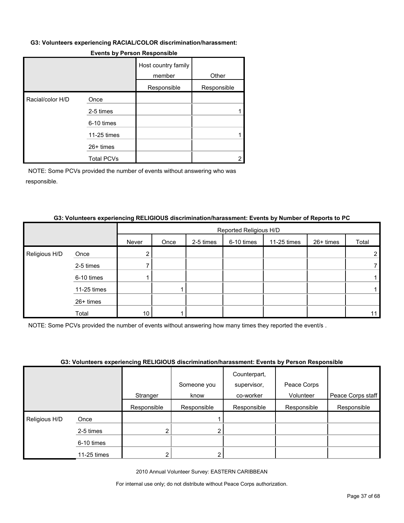#### **G3: Volunteers experiencing RACIAL/COLOR discrimination/harassment:**

|                  |                   | Host country family<br>member | Other       |
|------------------|-------------------|-------------------------------|-------------|
|                  |                   | Responsible                   | Responsible |
| Racial/color H/D | Once              |                               |             |
|                  | 2-5 times         |                               |             |
|                  | 6-10 times        |                               |             |
|                  | 11-25 times       |                               |             |
|                  | 26+ times         |                               |             |
|                  | <b>Total PCVs</b> |                               | 2           |

#### **Events by Person Responsible**

NOTE: Some PCVs provided the number of events without answering who was responsible.

#### **G3: Volunteers experiencing RELIGIOUS discrimination/harassment: Events by Number of Reports to PC**

|               |             |                 | Reported Religious H/D |           |            |             |           |       |  |
|---------------|-------------|-----------------|------------------------|-----------|------------|-------------|-----------|-------|--|
|               |             | Never           | Once                   | 2-5 times | 6-10 times | 11-25 times | 26+ times | Total |  |
| Religious H/D | Once        |                 |                        |           |            |             |           |       |  |
|               | 2-5 times   |                 |                        |           |            |             |           |       |  |
|               | 6-10 times  |                 |                        |           |            |             |           |       |  |
|               | 11-25 times |                 |                        |           |            |             |           |       |  |
|               | 26+ times   |                 |                        |           |            |             |           |       |  |
|               | Total       | 10 <sup>°</sup> |                        |           |            |             |           | 11    |  |

NOTE: Some PCVs provided the number of events without answering how many times they reported the event/s .

#### **G3: Volunteers experiencing RELIGIOUS discrimination/harassment: Events by Person Responsible**

|               |             |             |             | Counterpart, |             |                   |
|---------------|-------------|-------------|-------------|--------------|-------------|-------------------|
|               |             |             | Someone you | supervisor,  | Peace Corps |                   |
|               |             | Stranger    | know        | co-worker    | Volunteer   | Peace Corps staff |
|               |             | Responsible | Responsible | Responsible  | Responsible | Responsible       |
| Religious H/D | Once        |             |             |              |             |                   |
|               | 2-5 times   |             |             |              |             |                   |
|               | 6-10 times  |             |             |              |             |                   |
|               | 11-25 times | ⌒           |             |              |             |                   |

2010 Annual Volunteer Survey: EASTERN CARIBBEAN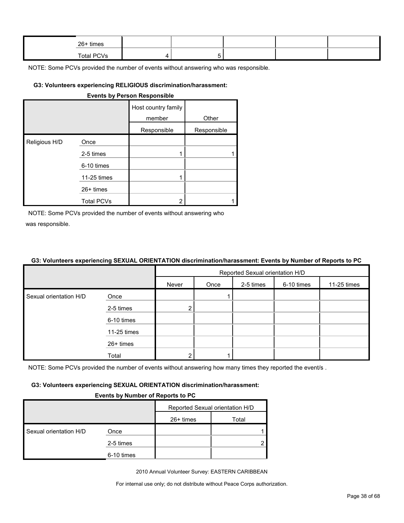| $26+$ times |  |  |  |
|-------------|--|--|--|
| Total PCVs  |  |  |  |

#### **G3: Volunteers experiencing RELIGIOUS discrimination/harassment:**

| <b>Events by Person Responsible</b> |                   |                               |             |  |  |  |  |  |
|-------------------------------------|-------------------|-------------------------------|-------------|--|--|--|--|--|
|                                     |                   | Host country family<br>member | Other       |  |  |  |  |  |
|                                     |                   | Responsible                   | Responsible |  |  |  |  |  |
| Religious H/D                       | Once              |                               |             |  |  |  |  |  |
|                                     | 2-5 times         |                               |             |  |  |  |  |  |
|                                     | 6-10 times        |                               |             |  |  |  |  |  |
|                                     | 11-25 times       | 1                             |             |  |  |  |  |  |
|                                     | $26+$ times       |                               |             |  |  |  |  |  |
|                                     | <b>Total PCVs</b> | 2                             |             |  |  |  |  |  |

NOTE: Some PCVs provided the number of events without answering who was responsible.

#### **G3: Volunteers experiencing SEXUAL ORIENTATION discrimination/harassment: Events by Number of Reports to PC**

|                        |             | Reported Sexual orientation H/D |      |           |            |             |  |
|------------------------|-------------|---------------------------------|------|-----------|------------|-------------|--|
|                        |             | Never                           | Once | 2-5 times | 6-10 times | 11-25 times |  |
| Sexual orientation H/D | Once        |                                 |      |           |            |             |  |
|                        | 2-5 times   | $\overline{2}$                  |      |           |            |             |  |
|                        | 6-10 times  |                                 |      |           |            |             |  |
|                        | 11-25 times |                                 |      |           |            |             |  |
|                        | 26+ times   |                                 |      |           |            |             |  |
|                        | Total       |                                 |      |           |            |             |  |

NOTE: Some PCVs provided the number of events without answering how many times they reported the event/s.

#### **G3: Volunteers experiencing SEXUAL ORIENTATION discrimination/harassment:**

#### **Events by Number of Reports to PC**

|                        |            | Reported Sexual orientation H/D |       |  |
|------------------------|------------|---------------------------------|-------|--|
|                        |            | $26+$ times                     | Total |  |
| Sexual orientation H/D | Once       |                                 |       |  |
|                        | 2-5 times  |                                 |       |  |
|                        | 6-10 times |                                 |       |  |

2010 Annual Volunteer Survey: EASTERN CARIBBEAN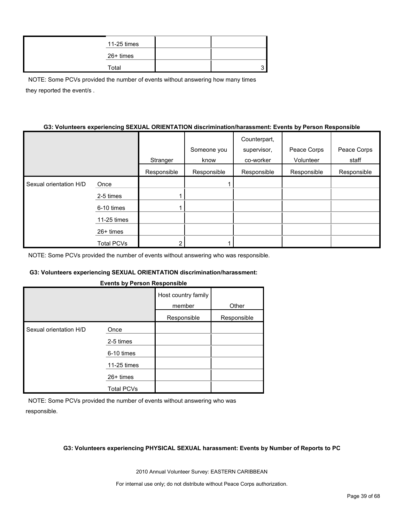| 11-25 times |  |
|-------------|--|
| 26+ times   |  |
| Total       |  |

NOTE: Some PCVs provided the number of events without answering how many times they reported the event/s .

#### **G3: Volunteers experiencing SEXUAL ORIENTATION discrimination/harassment: Events by Person Responsible**

|                        |                   |             |             | Counterpart, |             |             |
|------------------------|-------------------|-------------|-------------|--------------|-------------|-------------|
|                        |                   |             | Someone you | supervisor,  | Peace Corps | Peace Corps |
|                        |                   | Stranger    | know        | co-worker    | Volunteer   | staff       |
|                        |                   | Responsible | Responsible | Responsible  | Responsible | Responsible |
| Sexual orientation H/D | Once              |             |             |              |             |             |
|                        | 2-5 times         |             |             |              |             |             |
|                        | 6-10 times        |             |             |              |             |             |
|                        | 11-25 times       |             |             |              |             |             |
|                        | $26+$ times       |             |             |              |             |             |
|                        | <b>Total PCVs</b> |             |             |              |             |             |

NOTE: Some PCVs provided the number of events without answering who was responsible.

#### **G3: Volunteers experiencing SEXUAL ORIENTATION discrimination/harassment:**

#### **Events by Person Responsible**

|                        |                   | Host country family<br>member | Other       |
|------------------------|-------------------|-------------------------------|-------------|
|                        |                   | Responsible                   | Responsible |
| Sexual orientation H/D | Once              |                               |             |
|                        | 2-5 times         |                               |             |
|                        | 6-10 times        |                               |             |
|                        | 11-25 times       |                               |             |
|                        | $26+$ times       |                               |             |
|                        | <b>Total PCVs</b> |                               |             |

NOTE: Some PCVs provided the number of events without answering who was responsible.

#### **G3: Volunteers experiencing PHYSICAL SEXUAL harassment: Events by Number of Reports to PC**

2010 Annual Volunteer Survey: EASTERN CARIBBEAN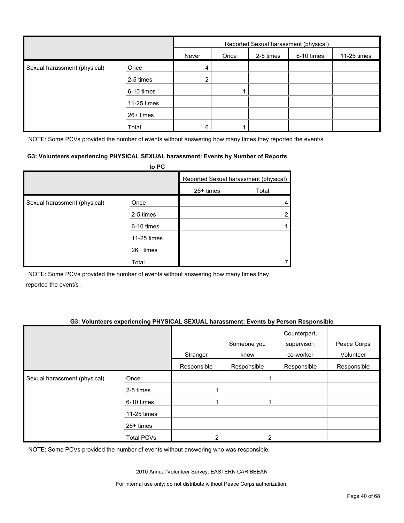|                              |             |       | Reported Sexual harassment (physical) |           |            |             |  |  |
|------------------------------|-------------|-------|---------------------------------------|-----------|------------|-------------|--|--|
|                              |             | Never | Once                                  | 2-5 times | 6-10 times | 11-25 times |  |  |
| Sexual harassment (physical) | Once        | 4     |                                       |           |            |             |  |  |
|                              | 2-5 times   | 2     |                                       |           |            |             |  |  |
|                              | 6-10 times  |       |                                       |           |            |             |  |  |
|                              | 11-25 times |       |                                       |           |            |             |  |  |
|                              | 26+ times   |       |                                       |           |            |             |  |  |
|                              | Total       | 6     |                                       |           |            |             |  |  |

NOTE: Some PCVs provided the number of events without answering how many times they reported the event/s.

#### **G3: Volunteers experiencing PHYSICAL SEXUAL harassment: Events by Number of Reports**

|                              | to PC       |           |                                       |
|------------------------------|-------------|-----------|---------------------------------------|
|                              |             |           | Reported Sexual harassment (physical) |
|                              |             | 26+ times | Total                                 |
| Sexual harassment (physical) | Once        |           |                                       |
|                              | 2-5 times   |           | 2                                     |
|                              | 6-10 times  |           |                                       |
|                              | 11-25 times |           |                                       |
|                              | $26+$ times |           |                                       |
|                              | Total       |           |                                       |

NOTE: Some PCVs provided the number of events without answering how many times they reported the event/s .

#### **G3: Volunteers experiencing PHYSICAL SEXUAL harassment: Events by Person Responsible**

|                              |                   | Stranger    | Someone you<br>know | Counterpart,<br>supervisor,<br>co-worker | Peace Corps<br>Volunteer |
|------------------------------|-------------------|-------------|---------------------|------------------------------------------|--------------------------|
|                              |                   | Responsible | Responsible         | Responsible                              | Responsible              |
| Sexual harassment (physical) | Once              |             |                     |                                          |                          |
|                              | 2-5 times         |             |                     |                                          |                          |
|                              | 6-10 times        |             |                     |                                          |                          |
|                              | 11-25 times       |             |                     |                                          |                          |
|                              | 26+ times         |             |                     |                                          |                          |
|                              | <b>Total PCVs</b> | ◠           |                     |                                          |                          |

NOTE: Some PCVs provided the number of events without answering who was responsible.

2010 Annual Volunteer Survey: EASTERN CARIBBEAN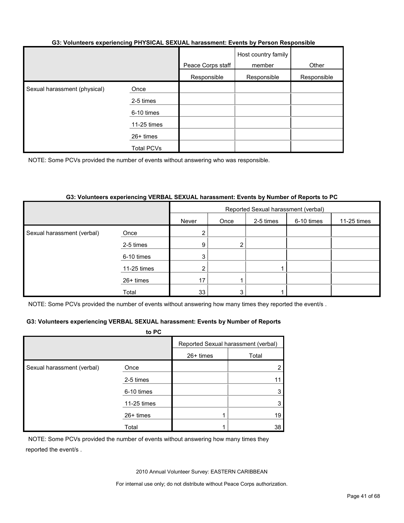#### **G3: Volunteers experiencing PHYSICAL SEXUAL harassment: Events by Person Responsible**

|                              |             | Peace Corps staff | Host country family<br>member | Other       |
|------------------------------|-------------|-------------------|-------------------------------|-------------|
|                              |             | Responsible       | Responsible                   | Responsible |
| Sexual harassment (physical) | Once        |                   |                               |             |
|                              | 2-5 times   |                   |                               |             |
|                              | 6-10 times  |                   |                               |             |
|                              | 11-25 times |                   |                               |             |
|                              | 26+ times   |                   |                               |             |
|                              | Total PCVs  |                   |                               |             |

NOTE: Some PCVs provided the number of events without answering who was responsible.

#### **G3: Volunteers experiencing VERBAL SEXUAL harassment: Events by Number of Reports to PC**

|                            |             | Reported Sexual harassment (verbal) |           |            |             |  |  |
|----------------------------|-------------|-------------------------------------|-----------|------------|-------------|--|--|
|                            | Never       | Once                                | 2-5 times | 6-10 times | 11-25 times |  |  |
| Sexual harassment (verbal) | Once        | $\overline{2}$                      |           |            |             |  |  |
|                            | 2-5 times   | 9                                   | 2         |            |             |  |  |
|                            | 6-10 times  | 3                                   |           |            |             |  |  |
|                            | 11-25 times | 2                                   |           |            |             |  |  |
|                            | 26+ times   | 17                                  |           |            |             |  |  |
|                            | Total       | 33                                  | 3         |            |             |  |  |

NOTE: Some PCVs provided the number of events without answering how many times they reported the event/s.

#### **G3: Volunteers experiencing VERBAL SEXUAL harassment: Events by Number of Reports**

|                            | to PC       |                                     |       |
|----------------------------|-------------|-------------------------------------|-------|
|                            |             | Reported Sexual harassment (verbal) |       |
|                            |             | 26+ times                           | Total |
| Sexual harassment (verbal) | Once        |                                     |       |
| 2-5 times                  |             |                                     | 11    |
|                            | 6-10 times  |                                     | 3     |
|                            | 11-25 times |                                     |       |
|                            | 26+ times   |                                     | 19    |
|                            | Total       |                                     | 38    |

NOTE: Some PCVs provided the number of events without answering how many times they reported the event/s .

2010 Annual Volunteer Survey: EASTERN CARIBBEAN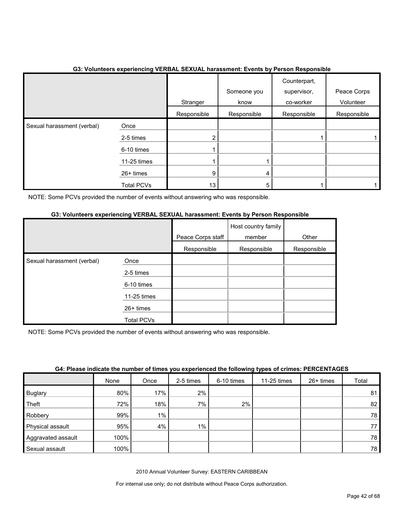|                            | . .<br>$\tilde{\phantom{a}}$ | Stranger        | Someone you<br>know | . .<br>Counterpart,<br>supervisor,<br>co-worker | Peace Corps<br>Volunteer |
|----------------------------|------------------------------|-----------------|---------------------|-------------------------------------------------|--------------------------|
|                            |                              | Responsible     | Responsible         | Responsible                                     | Responsible              |
| Sexual harassment (verbal) | Once                         |                 |                     |                                                 |                          |
|                            | 2-5 times                    | $\overline{2}$  |                     |                                                 |                          |
|                            | 6-10 times                   |                 |                     |                                                 |                          |
|                            | 11-25 times                  |                 |                     |                                                 |                          |
|                            | 26+ times                    | 9               | 4                   |                                                 |                          |
|                            | <b>Total PCVs</b>            | 13 <sub>1</sub> | 5                   |                                                 |                          |

#### **G3: Volunteers experiencing VERBAL SEXUAL harassment: Events by Person Responsible**

NOTE: Some PCVs provided the number of events without answering who was responsible.

## **G3: Volunteers experiencing VERBAL SEXUAL harassment: Events by Person Responsible**

|                            |                   | Peace Corps staff | Host country family<br>member | Other       |
|----------------------------|-------------------|-------------------|-------------------------------|-------------|
|                            |                   | Responsible       | Responsible                   | Responsible |
| Sexual harassment (verbal) | Once              |                   |                               |             |
|                            | 2-5 times         |                   |                               |             |
|                            | 6-10 times        |                   |                               |             |
|                            | 11-25 times       |                   |                               |             |
|                            | 26+ times         |                   |                               |             |
|                            | <b>Total PCVs</b> |                   |                               |             |

NOTE: Some PCVs provided the number of events without answering who was responsible.

|  |  |  | G4: Please indicate the number of times you experienced the following types of crimes: PERCENTAGES |  |  |  |  |
|--|--|--|----------------------------------------------------------------------------------------------------|--|--|--|--|
|  |  |  |                                                                                                    |  |  |  |  |

|                    | None | Once  | 2-5 times | 6-10 times | 11-25 times | 26+ times | Total |
|--------------------|------|-------|-----------|------------|-------------|-----------|-------|
| <b>Buglary</b>     | 80%  | 17%   | 2%        |            |             |           | 81    |
| Theft              | 72%  | 18%   | 7%        | 2%         |             |           | 82    |
| Robbery            | 99%  | $1\%$ |           |            |             |           | 78    |
| Physical assault   | 95%  | 4%    | $1\%$     |            |             |           | 77    |
| Aggravated assault | 100% |       |           |            |             |           | 78    |
| Sexual assault     | 100% |       |           |            |             |           | 78    |

2010 Annual Volunteer Survey: EASTERN CARIBBEAN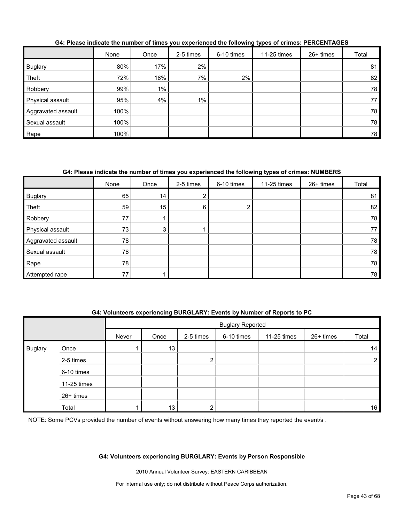|                    | None | Once  | 2-5 times | 6-10 times | 11-25 times | $26+$ times | Total |
|--------------------|------|-------|-----------|------------|-------------|-------------|-------|
| <b>Buglary</b>     | 80%  | 17%   | 2%        |            |             |             | 81    |
| Theft              | 72%  | 18%   | 7%        | 2%         |             |             | 82    |
| Robbery            | 99%  | $1\%$ |           |            |             |             | 78    |
| Physical assault   | 95%  | 4%    | $1\%$     |            |             |             | 77    |
| Aggravated assault | 100% |       |           |            |             |             | 78    |
| Sexual assault     | 100% |       |           |            |             |             | 78    |
| Rape               | 100% |       |           |            |             |             | 78    |

#### **G4: Please indicate the number of times you experienced the following types of crimes: PERCENTAGES**

## **G4: Please indicate the number of times you experienced the following types of crimes: NUMBERS**

|                    | None | Once | 2-5 times     | 6-10 times | 11-25 times | 26+ times | Total |
|--------------------|------|------|---------------|------------|-------------|-----------|-------|
| <b>Buglary</b>     | 65   | 14   | o<br><u>∠</u> |            |             |           | 81    |
| Theft              | 59   | 15   | 6             |            |             |           | 82    |
| Robbery            | 77   |      |               |            |             |           | 78    |
| Physical assault   | 73   | 3    |               |            |             |           | 77    |
| Aggravated assault | 78   |      |               |            |             |           | 78    |
| Sexual assault     | 78   |      |               |            |             |           | 78    |
| Rape               | 78   |      |               |            |             |           | 78    |
| Attempted rape     | 77   |      |               |            |             |           | 78    |

#### **G4: Volunteers experiencing BURGLARY: Events by Number of Reports to PC**

|                |             |       | <b>Buglary Reported</b> |           |            |             |           |                 |
|----------------|-------------|-------|-------------------------|-----------|------------|-------------|-----------|-----------------|
|                |             | Never | Once                    | 2-5 times | 6-10 times | 11-25 times | 26+ times | Total           |
| <b>Buglary</b> | Once        |       | 13                      |           |            |             |           | 14 <sub>1</sub> |
|                | 2-5 times   |       |                         | っ<br>۷    |            |             |           | $\overline{2}$  |
|                | 6-10 times  |       |                         |           |            |             |           |                 |
|                | 11-25 times |       |                         |           |            |             |           |                 |
|                | 26+ times   |       |                         |           |            |             |           |                 |
|                | Total       |       | 13                      | ົ         |            |             |           | 16              |

NOTE: Some PCVs provided the number of events without answering how many times they reported the event/s.

#### **G4: Volunteers experiencing BURGLARY: Events by Person Responsible**

2010 Annual Volunteer Survey: EASTERN CARIBBEAN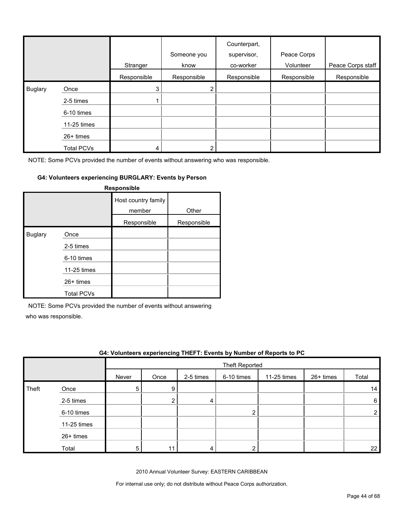|         |                   | Stranger    | Someone you<br>know | Counterpart,<br>supervisor,<br>co-worker | Peace Corps<br>Volunteer | Peace Corps staff |
|---------|-------------------|-------------|---------------------|------------------------------------------|--------------------------|-------------------|
|         |                   | Responsible | Responsible         | Responsible                              | Responsible              | Responsible       |
| Buglary | Once              | 3           | $\overline{2}$      |                                          |                          |                   |
|         | 2-5 times         |             |                     |                                          |                          |                   |
|         | 6-10 times        |             |                     |                                          |                          |                   |
|         | 11-25 times       |             |                     |                                          |                          |                   |
|         | 26+ times         |             |                     |                                          |                          |                   |
|         | <b>Total PCVs</b> | 4           |                     |                                          |                          |                   |

#### **G4: Volunteers experiencing BURGLARY: Events by Person**

| Responsible    |                   |                               |             |  |  |  |  |
|----------------|-------------------|-------------------------------|-------------|--|--|--|--|
|                |                   | Host country family<br>member | Other       |  |  |  |  |
|                |                   | Responsible                   | Responsible |  |  |  |  |
| <b>Buglary</b> | Once              |                               |             |  |  |  |  |
|                | 2-5 times         |                               |             |  |  |  |  |
|                | 6-10 times        |                               |             |  |  |  |  |
|                | 11-25 times       |                               |             |  |  |  |  |
|                | $26+$ times       |                               |             |  |  |  |  |
|                | <b>Total PCVs</b> |                               |             |  |  |  |  |

NOTE: Some PCVs provided the number of events without answering

who was responsible.

|       | G4: Volunteers experiencing THEFT: Events by Number of Reports to PC |       |      |           |                       |             |           |                   |
|-------|----------------------------------------------------------------------|-------|------|-----------|-----------------------|-------------|-----------|-------------------|
|       |                                                                      |       |      |           | <b>Theft Reported</b> |             |           |                   |
|       |                                                                      | Never | Once | 2-5 times | 6-10 times            | 11-25 times | 26+ times | Total             |
| Theft | Once                                                                 |       | 9    |           |                       |             |           | 14                |
|       | 2-5 times                                                            |       |      | 4         |                       |             |           | 6                 |
|       | 6-10 times                                                           |       |      |           | າ                     |             |           |                   |
|       | 11-25 times                                                          |       |      |           |                       |             |           |                   |
|       | $26+$ times                                                          |       |      |           |                       |             |           |                   |
|       | Total                                                                | 5     |      |           |                       |             |           | $22 \overline{ }$ |

2010 Annual Volunteer Survey: EASTERN CARIBBEAN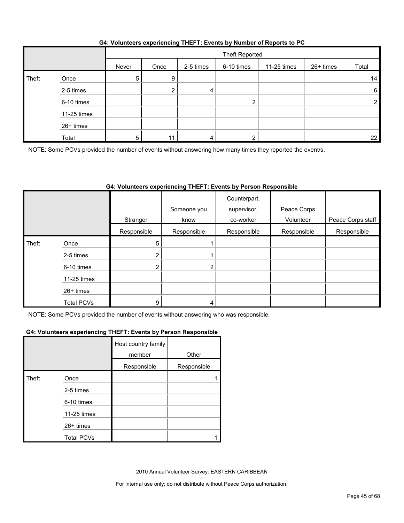| G4: Volunteers experiencing THEFT: Events by Number of Reports to PC |  |  |
|----------------------------------------------------------------------|--|--|
|                                                                      |  |  |

|       |             |       | Theft Reported |           |            |             |           |                  |
|-------|-------------|-------|----------------|-----------|------------|-------------|-----------|------------------|
|       |             | Never | Once           | 2-5 times | 6-10 times | 11-25 times | 26+ times | Total            |
| Theft | Once        | 5     | 9              |           |            |             |           | 14               |
|       | 2-5 times   |       |                | д         |            |             |           | $6 \overline{6}$ |
|       | 6-10 times  |       |                |           | 2          |             |           | 2                |
|       | 11-25 times |       |                |           |            |             |           |                  |
|       | 26+ times   |       |                |           |            |             |           |                  |
|       | Total       | 5.    | 11             |           | ◠          |             |           | 22               |

NOTE: Some PCVs provided the number of events without answering how many times they reported the event/s.

## **G4: Volunteers experiencing THEFT: Events by Person Responsible**

|       |                   | Stranger       | Someone you<br>know | Counterpart,<br>supervisor,<br>co-worker | Peace Corps<br>Volunteer | Peace Corps staff |
|-------|-------------------|----------------|---------------------|------------------------------------------|--------------------------|-------------------|
|       |                   |                |                     |                                          |                          |                   |
|       |                   | Responsible    | Responsible         | Responsible                              | Responsible              | Responsible       |
| Theft | Once              | 5              |                     |                                          |                          |                   |
|       | 2-5 times         | $\overline{2}$ |                     |                                          |                          |                   |
|       | 6-10 times        | 2              | າ                   |                                          |                          |                   |
|       | 11-25 times       |                |                     |                                          |                          |                   |
|       | 26+ times         |                |                     |                                          |                          |                   |
|       | <b>Total PCVs</b> | 9              |                     |                                          |                          |                   |

NOTE: Some PCVs provided the number of events without answering who was responsible.

#### **G4: Volunteers experiencing THEFT: Events by Person Responsible**

|       |                   | Host country family<br>member | Other       |
|-------|-------------------|-------------------------------|-------------|
|       |                   | Responsible                   | Responsible |
| Theft | Once              |                               |             |
|       | 2-5 times         |                               |             |
|       | 6-10 times        |                               |             |
|       | 11-25 times       |                               |             |
|       | 26+ times         |                               |             |
|       | <b>Total PCVs</b> |                               |             |

2010 Annual Volunteer Survey: EASTERN CARIBBEAN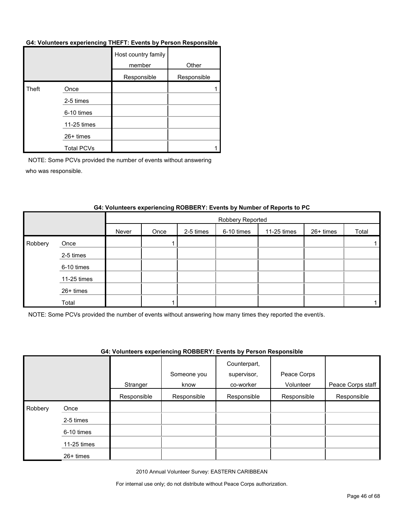#### **G4: Volunteers experiencing THEFT: Events by Person Responsible**

|       |                   | Host country family<br>member | Other       |
|-------|-------------------|-------------------------------|-------------|
|       |                   | Responsible                   | Responsible |
| Theft | Once              |                               |             |
|       | 2-5 times         |                               |             |
|       | 6-10 times        |                               |             |
|       | 11-25 times       |                               |             |
|       | 26+ times         |                               |             |
|       | <b>Total PCVs</b> |                               |             |

NOTE: Some PCVs provided the number of events without answering who was responsible.

|         |             |       | Robbery Reported |           |            |             |           |       |  |  |
|---------|-------------|-------|------------------|-----------|------------|-------------|-----------|-------|--|--|
|         |             | Never | Once             | 2-5 times | 6-10 times | 11-25 times | 26+ times | Total |  |  |
| Robbery | Once        |       |                  |           |            |             |           |       |  |  |
|         | 2-5 times   |       |                  |           |            |             |           |       |  |  |
|         | 6-10 times  |       |                  |           |            |             |           |       |  |  |
|         | 11-25 times |       |                  |           |            |             |           |       |  |  |
|         | 26+ times   |       |                  |           |            |             |           |       |  |  |
|         | Total       |       |                  |           |            |             |           |       |  |  |

#### **G4: Volunteers experiencing ROBBERY: Events by Number of Reports to PC**

NOTE: Some PCVs provided the number of events without answering how many times they reported the event/s.

#### **G4: Volunteers experiencing ROBBERY: Events by Person Responsible**

|         |             |             | Someone you | Counterpart,<br>supervisor, | Peace Corps |                   |
|---------|-------------|-------------|-------------|-----------------------------|-------------|-------------------|
|         |             | Stranger    | know        | co-worker                   | Volunteer   | Peace Corps staff |
|         |             | Responsible | Responsible | Responsible                 | Responsible | Responsible       |
| Robbery | Once        |             |             |                             |             |                   |
|         | 2-5 times   |             |             |                             |             |                   |
|         | 6-10 times  |             |             |                             |             |                   |
|         | 11-25 times |             |             |                             |             |                   |
|         | 26+ times   |             |             |                             |             |                   |

2010 Annual Volunteer Survey: EASTERN CARIBBEAN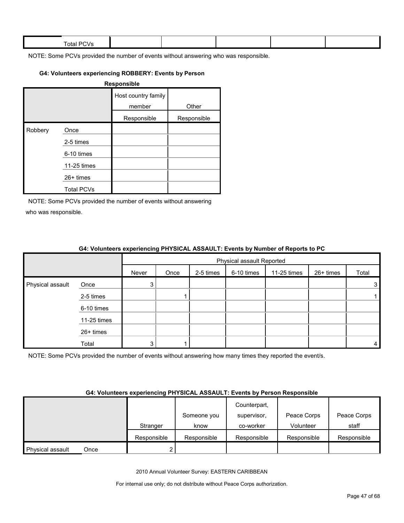| $ -$<br><b>Total PL</b><br>$\mathbf{v}$ |  |  |  |
|-----------------------------------------|--|--|--|
|                                         |  |  |  |

#### **G4: Volunteers experiencing ROBBERY: Events by Person**

|         |                   | Responsible                   |             |
|---------|-------------------|-------------------------------|-------------|
|         |                   | Host country family<br>member | Other       |
|         |                   | Responsible                   | Responsible |
| Robbery | Once              |                               |             |
|         | 2-5 times         |                               |             |
|         | 6-10 times        |                               |             |
|         | 11-25 times       |                               |             |
|         | $26+$ times       |                               |             |
|         | <b>Total PCVs</b> |                               |             |

NOTE: Some PCVs provided the number of events without answering who was responsible.

|                  |             | $\bullet$ in relative to the content of the state $\bullet$ in the state $\bullet$ in the state $\bullet$ in the state $\bullet$ in $\bullet$ |                           |           |            |             |           |       |  |
|------------------|-------------|-----------------------------------------------------------------------------------------------------------------------------------------------|---------------------------|-----------|------------|-------------|-----------|-------|--|
|                  |             |                                                                                                                                               | Physical assault Reported |           |            |             |           |       |  |
|                  |             | Never                                                                                                                                         | Once                      | 2-5 times | 6-10 times | 11-25 times | 26+ times | Total |  |
| Physical assault | Once        |                                                                                                                                               |                           |           |            |             |           | 3     |  |
|                  | 2-5 times   |                                                                                                                                               |                           |           |            |             |           |       |  |
|                  | 6-10 times  |                                                                                                                                               |                           |           |            |             |           |       |  |
|                  | 11-25 times |                                                                                                                                               |                           |           |            |             |           |       |  |
|                  | 26+ times   |                                                                                                                                               |                           |           |            |             |           |       |  |
|                  | Total       |                                                                                                                                               |                           |           |            |             |           | 4     |  |

#### **G4: Volunteers experiencing PHYSICAL ASSAULT: Events by Number of Reports to PC**

NOTE: Some PCVs provided the number of events without answering how many times they reported the event/s.

#### **G4: Volunteers experiencing PHYSICAL ASSAULT: Events by Person Responsible**

|                  |      |             |             | Counterpart, |             |             |
|------------------|------|-------------|-------------|--------------|-------------|-------------|
|                  |      |             | Someone you | supervisor,  | Peace Corps | Peace Corps |
|                  |      | Stranger    | know        | co-worker    | Volunteer   | staff       |
|                  |      | Responsible | Responsible | Responsible  | Responsible | Responsible |
| Physical assault | Once |             |             |              |             |             |

2010 Annual Volunteer Survey: EASTERN CARIBBEAN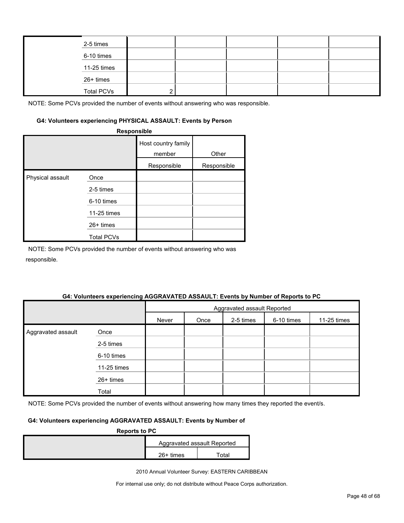| 2-5 times         |  |  |  |
|-------------------|--|--|--|
| 6-10 times        |  |  |  |
| 11-25 times       |  |  |  |
| 26+ times         |  |  |  |
| <b>Total PCVs</b> |  |  |  |

#### **G4: Volunteers experiencing PHYSICAL ASSAULT: Events by Person**

|                  | Responsible       |                               |             |
|------------------|-------------------|-------------------------------|-------------|
|                  |                   | Host country family<br>member | Other       |
|                  |                   | Responsible                   | Responsible |
| Physical assault | Once              |                               |             |
|                  | 2-5 times         |                               |             |
|                  | 6-10 times        |                               |             |
|                  | 11-25 times       |                               |             |
|                  | 26+ times         |                               |             |
|                  | <b>Total PCVs</b> |                               |             |

NOTE: Some PCVs provided the number of events without answering who was responsible.

#### **G4: Volunteers experiencing AGGRAVATED ASSAULT: Events by Number of Reports to PC**

|                    |             |                                                         | Aggravated assault Reported |  |  |  |  |  |
|--------------------|-------------|---------------------------------------------------------|-----------------------------|--|--|--|--|--|
|                    |             | 2-5 times<br>6-10 times<br>11-25 times<br>Never<br>Once |                             |  |  |  |  |  |
| Aggravated assault | Once        |                                                         |                             |  |  |  |  |  |
|                    | 2-5 times   |                                                         |                             |  |  |  |  |  |
|                    | 6-10 times  |                                                         |                             |  |  |  |  |  |
|                    | 11-25 times |                                                         |                             |  |  |  |  |  |
|                    | 26+ times   |                                                         |                             |  |  |  |  |  |
|                    | Total       |                                                         |                             |  |  |  |  |  |

NOTE: Some PCVs provided the number of events without answering how many times they reported the event/s.

## **G4: Volunteers experiencing AGGRAVATED ASSAULT: Events by Number of**

| <b>Reports to PC</b> |             |                             |  |
|----------------------|-------------|-----------------------------|--|
|                      |             | Aggravated assault Reported |  |
|                      | $26+$ times | ™otal                       |  |

2010 Annual Volunteer Survey: EASTERN CARIBBEAN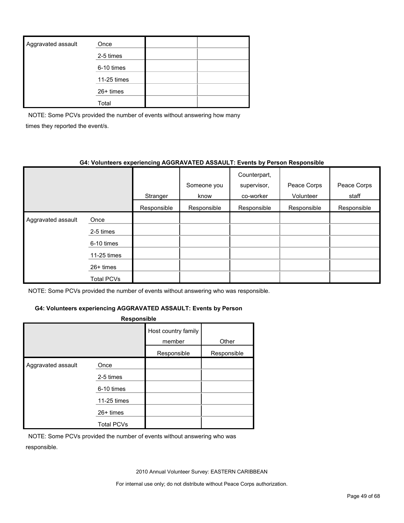| Aggravated assault | Once        |  |
|--------------------|-------------|--|
|                    | 2-5 times   |  |
|                    | 6-10 times  |  |
|                    | 11-25 times |  |
|                    | 26+ times   |  |
|                    | Total       |  |

NOTE: Some PCVs provided the number of events without answering how many times they reported the event/s.

#### **G4: Volunteers experiencing AGGRAVATED ASSAULT: Events by Person Responsible**

|                    |             | Stranger    | Someone you<br>know | Counterpart,<br>supervisor,<br>co-worker | Peace Corps<br>Volunteer | Peace Corps<br>staff |
|--------------------|-------------|-------------|---------------------|------------------------------------------|--------------------------|----------------------|
|                    |             | Responsible | Responsible         | Responsible                              | Responsible              | Responsible          |
| Aggravated assault | Once        |             |                     |                                          |                          |                      |
|                    | 2-5 times   |             |                     |                                          |                          |                      |
|                    | 6-10 times  |             |                     |                                          |                          |                      |
|                    | 11-25 times |             |                     |                                          |                          |                      |
|                    | $26+$ times |             |                     |                                          |                          |                      |
|                    | Total PCVs  |             |                     |                                          |                          |                      |

NOTE: Some PCVs provided the number of events without answering who was responsible.

## **G4: Volunteers experiencing AGGRAVATED ASSAULT: Events by Person**

| <b>Responsible</b> |                   |                               |             |  |  |  |  |
|--------------------|-------------------|-------------------------------|-------------|--|--|--|--|
|                    |                   | Host country family<br>member | Other       |  |  |  |  |
|                    |                   | Responsible                   | Responsible |  |  |  |  |
| Aggravated assault | Once              |                               |             |  |  |  |  |
|                    | 2-5 times         |                               |             |  |  |  |  |
|                    | 6-10 times        |                               |             |  |  |  |  |
|                    | 11-25 times       |                               |             |  |  |  |  |
|                    | $26+$ times       |                               |             |  |  |  |  |
|                    | <b>Total PCVs</b> |                               |             |  |  |  |  |

NOTE: Some PCVs provided the number of events without answering who was responsible.

2010 Annual Volunteer Survey: EASTERN CARIBBEAN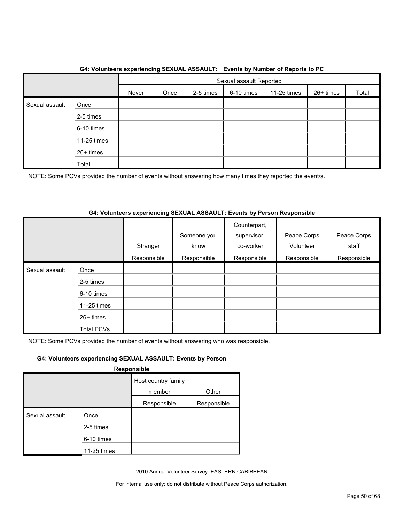|                |             |                                                                      |  |  | Sexual assault Reported |  |  |       |
|----------------|-------------|----------------------------------------------------------------------|--|--|-------------------------|--|--|-------|
|                |             | 6-10 times<br>26+ times<br>Once<br>2-5 times<br>11-25 times<br>Never |  |  |                         |  |  | Total |
| Sexual assault | Once        |                                                                      |  |  |                         |  |  |       |
|                | 2-5 times   |                                                                      |  |  |                         |  |  |       |
|                | 6-10 times  |                                                                      |  |  |                         |  |  |       |
|                | 11-25 times |                                                                      |  |  |                         |  |  |       |
|                | 26+ times   |                                                                      |  |  |                         |  |  |       |
|                | Total       |                                                                      |  |  |                         |  |  |       |

## **G4: Volunteers experiencing SEXUAL ASSAULT: Events by Number of Reports to PC**

NOTE: Some PCVs provided the number of events without answering how many times they reported the event/s.

## **G4: Volunteers experiencing SEXUAL ASSAULT: Events by Person Responsible**

|                |                   | Stranger    | Someone you<br>know | Counterpart,<br>supervisor,<br>co-worker | Peace Corps<br>Volunteer | Peace Corps<br>staff |
|----------------|-------------------|-------------|---------------------|------------------------------------------|--------------------------|----------------------|
|                |                   | Responsible | Responsible         | Responsible                              | Responsible              | Responsible          |
| Sexual assault | Once              |             |                     |                                          |                          |                      |
|                | 2-5 times         |             |                     |                                          |                          |                      |
|                | 6-10 times        |             |                     |                                          |                          |                      |
|                | 11-25 times       |             |                     |                                          |                          |                      |
|                | 26+ times         |             |                     |                                          |                          |                      |
|                | <b>Total PCVs</b> |             |                     |                                          |                          |                      |

NOTE: Some PCVs provided the number of events without answering who was responsible.

## **G4: Volunteers experiencing SEXUAL ASSAULT: Events by Person**

**Responsible**

|                |             | Host country family |             |
|----------------|-------------|---------------------|-------------|
|                |             | member              | Other       |
|                |             | Responsible         | Responsible |
| Sexual assault | Once        |                     |             |
|                | 2-5 times   |                     |             |
|                | 6-10 times  |                     |             |
|                | 11-25 times |                     |             |

2010 Annual Volunteer Survey: EASTERN CARIBBEAN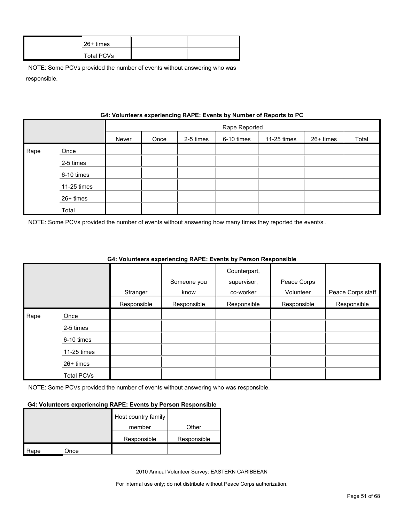| $26+$ times |  |
|-------------|--|
| Total PCVs  |  |

|      |             | G4: VOIUNTERS EXPERIENCING RAPE: EVENTS by NUMBER OF REPORTS TO PU |               |           |            |             |           |       |  |
|------|-------------|--------------------------------------------------------------------|---------------|-----------|------------|-------------|-----------|-------|--|
|      |             |                                                                    | Rape Reported |           |            |             |           |       |  |
|      |             | Never                                                              | Once          | 2-5 times | 6-10 times | 11-25 times | 26+ times | Total |  |
| Rape | Once        |                                                                    |               |           |            |             |           |       |  |
|      | 2-5 times   |                                                                    |               |           |            |             |           |       |  |
|      | 6-10 times  |                                                                    |               |           |            |             |           |       |  |
|      | 11-25 times |                                                                    |               |           |            |             |           |       |  |
|      | 26+ times   |                                                                    |               |           |            |             |           |       |  |
|      | Total       |                                                                    |               |           |            |             |           |       |  |

**Gynorionoing BABE: Events by Number of Benerts to** 

NOTE: Some PCVs provided the number of events without answering how many times they reported the event/s .

|      |                   |             |             | Counterpart, |             |                   |
|------|-------------------|-------------|-------------|--------------|-------------|-------------------|
|      |                   |             | Someone you | supervisor,  | Peace Corps |                   |
|      |                   | Stranger    | know        | co-worker    | Volunteer   | Peace Corps staff |
|      |                   | Responsible | Responsible | Responsible  | Responsible | Responsible       |
| Rape | Once              |             |             |              |             |                   |
|      | 2-5 times         |             |             |              |             |                   |
|      | 6-10 times        |             |             |              |             |                   |
|      | 11-25 times       |             |             |              |             |                   |
|      | $26+$ times       |             |             |              |             |                   |
|      | <b>Total PCVs</b> |             |             |              |             |                   |

## **G4: Volunteers experiencing RAPE: Events by Person Responsible**

NOTE: Some PCVs provided the number of events without answering who was responsible.

#### **G4: Volunteers experiencing RAPE: Events by Person Responsible**

|      |      | Host country family |             |
|------|------|---------------------|-------------|
|      |      | member              | Other       |
|      |      | Responsible         | Responsible |
| Rape | Once |                     |             |

2010 Annual Volunteer Survey: EASTERN CARIBBEAN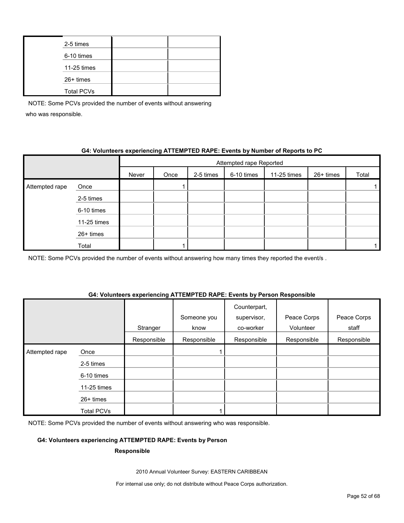| 2-5 times         |  |
|-------------------|--|
| 6-10 times        |  |
| 11-25 times       |  |
| 26+ times         |  |
| <b>Total PCVs</b> |  |

## **G4: Volunteers experiencing ATTEMPTED RAPE: Events by Number of Reports to PC**

|                |             | Attempted rape Reported |      |           |            |             |           |       |
|----------------|-------------|-------------------------|------|-----------|------------|-------------|-----------|-------|
|                |             | Never                   | Once | 2-5 times | 6-10 times | 11-25 times | 26+ times | Total |
| Attempted rape | Once        |                         |      |           |            |             |           |       |
|                | 2-5 times   |                         |      |           |            |             |           |       |
|                | 6-10 times  |                         |      |           |            |             |           |       |
|                | 11-25 times |                         |      |           |            |             |           |       |
|                | 26+ times   |                         |      |           |            |             |           |       |
|                | Total       |                         |      |           |            |             |           |       |

NOTE: Some PCVs provided the number of events without answering how many times they reported the event/s.

#### **G4: Volunteers experiencing ATTEMPTED RAPE: Events by Person Responsible**

|                |             |             |             | Counterpart, |             |             |
|----------------|-------------|-------------|-------------|--------------|-------------|-------------|
|                |             |             | Someone you | supervisor,  | Peace Corps | Peace Corps |
|                |             | Stranger    | know        | co-worker    | Volunteer   | staff       |
|                |             | Responsible | Responsible | Responsible  | Responsible | Responsible |
| Attempted rape | Once        |             |             |              |             |             |
|                | 2-5 times   |             |             |              |             |             |
|                | 6-10 times  |             |             |              |             |             |
|                | 11-25 times |             |             |              |             |             |
|                | $26+$ times |             |             |              |             |             |
|                | Total PCVs  |             |             |              |             |             |

NOTE: Some PCVs provided the number of events without answering who was responsible.

## **G4: Volunteers experiencing ATTEMPTED RAPE: Events by Person**

#### **Responsible**

2010 Annual Volunteer Survey: EASTERN CARIBBEAN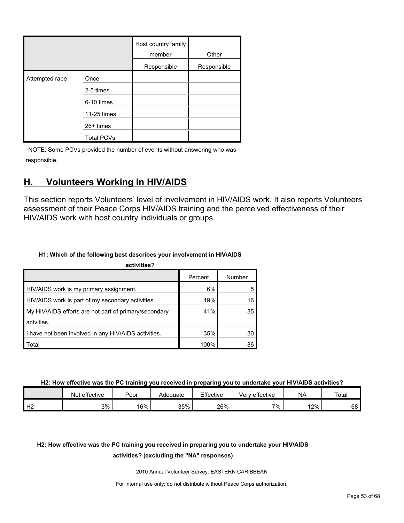|                | Host country family |             | Other       |
|----------------|---------------------|-------------|-------------|
|                |                     | Responsible | Responsible |
| Attempted rape | Once                |             |             |
|                | 2-5 times           |             |             |
|                | 6-10 times          |             |             |
|                | 11-25 times         |             |             |
|                | 26+ times           |             |             |
|                | <b>Total PCVs</b>   |             |             |

# <span id="page-52-0"></span>**H. Volunteers Working in HIV/AIDS**

This section reports Volunteers' level of involvement in HIV/AIDS work. It also reports Volunteers' assessment of their Peace Corps HIV/AIDS training and the perceived effectiveness of their HIV/AIDS work with host country individuals or groups.

## **H1: Which of the following best describes your involvement in HIV/AIDS**

| activities?                                           |         |        |
|-------------------------------------------------------|---------|--------|
|                                                       | Percent | Number |
| HIV/AIDS work is my primary assignment.               | 6%      |        |
| HIV/AIDS work is part of my secondary activities.     | 19%     | 16     |
| My HIV/AIDS efforts are not part of primary/secondary | 41%     | 35     |
| actvities.                                            |         |        |
| I have not been involved in any HIV/AIDS activities.  | 35%     | 30     |
| Total                                                 | 100%    | 86     |

**H2: How effective was the PC training you received in preparing you to undertake your HIV/AIDS activities?**

|    | Not effective | Poor | Adequate | Effective | Verv effective | <b>NA</b> | Total |
|----|---------------|------|----------|-----------|----------------|-----------|-------|
| H2 | $3\%$         | 16%  | 35%      | 26%       | 7%             | 12%       | 68    |

# **H2: How effective was the PC training you received in preparing you to undertake your HIV/AIDS**

## **activities? (excluding the "NA" responses)**

2010 Annual Volunteer Survey: EASTERN CARIBBEAN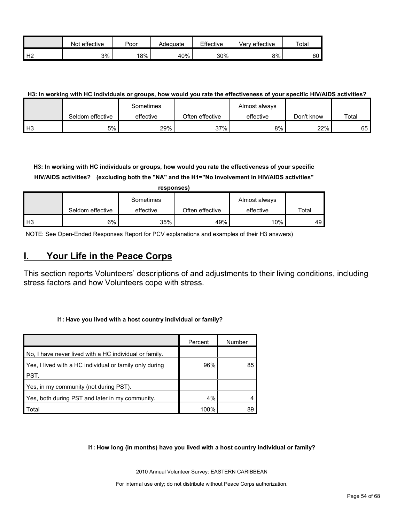|                | effective<br>Not | Poor   | Adequate | Effective | Verv effective | Total |
|----------------|------------------|--------|----------|-----------|----------------|-------|
| H <sub>2</sub> | 3%               | $18\%$ | 40%      | 30%       | 8%             | 60    |

## **H3: In working with HC individuals or groups, how would you rate the effectiveness of your specific HIV/AIDS activities?**

|                |                  | Sometimes |                 | Almost always |            |       |
|----------------|------------------|-----------|-----------------|---------------|------------|-------|
|                | Seldom effective | effective | Often effective | effective     | Don't know | Total |
| H <sub>3</sub> | 5%               | 29%       | 37%             | 8%            | 22%        | 65 I  |

**H3: In working with HC individuals or groups, how would you rate the effectiveness of your specific HIV/AIDS activities? (excluding both the "NA" and the H1="No involvement in HIV/AIDS activities"** 

|                | responses)       |           |                 |               |       |  |  |  |  |  |
|----------------|------------------|-----------|-----------------|---------------|-------|--|--|--|--|--|
|                |                  | Sometimes |                 | Almost always |       |  |  |  |  |  |
|                | Seldom effective | effective | Often effective | effective     | Total |  |  |  |  |  |
| H <sub>3</sub> | 6%               | 35%       | 49%             | 10%           | 49    |  |  |  |  |  |

NOTE: See Open-Ended Responses Report for PCV explanations and examples of their H3 answers)

## <span id="page-53-0"></span>**I. Your Life in the Peace Corps**

This section reports Volunteers' descriptions of and adjustments to their living conditions, including stress factors and how Volunteers cope with stress.

#### **I1: Have you lived with a host country individual or family?**

|                                                         | Percent | Number |
|---------------------------------------------------------|---------|--------|
| No, I have never lived with a HC individual or family.  |         |        |
| Yes, I lived with a HC individual or family only during | 96%     | 85     |
| PST.                                                    |         |        |
| Yes, in my community (not during PST).                  |         |        |
| Yes, both during PST and later in my community.         | 4%      |        |
| Total                                                   | 100%    | 89     |

**I1: How long (in months) have you lived with a host country individual or family?**

2010 Annual Volunteer Survey: EASTERN CARIBBEAN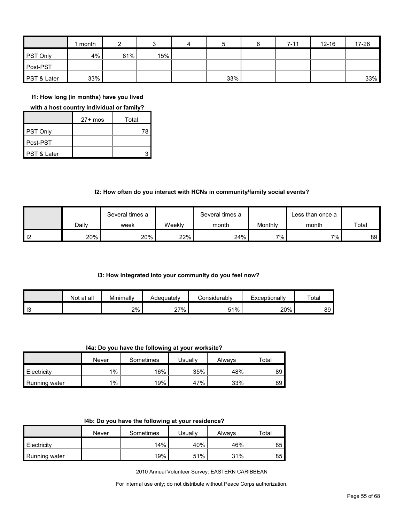|                        | month |     |     | 4 | 5   | $7 - 11$ | $12 - 16$ | 17-26 |
|------------------------|-------|-----|-----|---|-----|----------|-----------|-------|
| <b>PST Only</b>        | 4%    | 81% | 15% |   |     |          |           |       |
| Post-PST               |       |     |     |   |     |          |           |       |
| <b>PST &amp; Later</b> | 33%   |     |     |   | 33% |          |           | 33%   |

**I1: How long (in months) have you lived** 

#### **with a host country individual or family?**

|             | $27+$ mos | Total |
|-------------|-----------|-------|
| PST Only    |           | 78    |
| Post-PST    |           |       |
| PST & Later |           |       |

## **I2: How often do you interact with HCNs in community/family social events?**

|    |       | Several times a |        | Several times a |         | Less than once a |       |
|----|-------|-----------------|--------|-----------------|---------|------------------|-------|
|    | Dailv | week            | Weeklv | month           | Monthly | month            | Total |
| 12 | 20%   | 20%             | 22%    | 24%             | 7%      | 7%               | 89    |

#### **I3: How integrated into your community do you feel now?**

|    | Not at all | Minimally | Adeauatelv      | :onsiderablv | Exceptionally | Total |
|----|------------|-----------|-----------------|--------------|---------------|-------|
| 13 |            | 2%        | 27%<br>$\sim$ 1 | 51%          | 20%           | 89    |

**I4a: Do you have the following at your worksite?**

|               | Never | Sometimes | Usuallv | Always | $\tau$ otal |
|---------------|-------|-----------|---------|--------|-------------|
| Electricity   | $1\%$ | 16%       | 35%     | 48%    | 89          |
| Running water | $1\%$ | 19%       | 47%     | 33%    | 89          |

|  |  | 14b: Do you have the following at your residence? |
|--|--|---------------------------------------------------|
|--|--|---------------------------------------------------|

|               | Never | Sometimes | Usuallv | Always | ⊤otal |
|---------------|-------|-----------|---------|--------|-------|
| Electricity   |       | 14%       | 40%     | 46%    | 85    |
| Running water |       | 19%       | 51%     | 31%    | 85    |

2010 Annual Volunteer Survey: EASTERN CARIBBEAN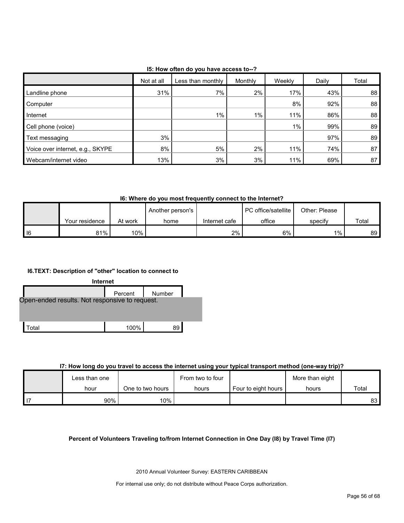| 15: How often do you have access to--? |  |
|----------------------------------------|--|
|----------------------------------------|--|

|                                  | Not at all | Less than monthly | Monthly | Weekly | Daily | Total |  |  |
|----------------------------------|------------|-------------------|---------|--------|-------|-------|--|--|
| Landline phone                   | 31%        | 7%                | $2\%$   | 17%    | 43%   | 88    |  |  |
| Computer                         |            |                   |         | 8%     | 92%   | 88    |  |  |
| Internet                         |            | $1\%$             | $1\%$   | 11%    | 86%   | 88    |  |  |
| Cell phone (voice)               |            |                   |         | $1\%$  | 99%   | 89    |  |  |
| Text messaging                   | 3%         |                   |         |        | 97%   | 89    |  |  |
| Voice over internet, e.g., SKYPE | 8%         | 5%                | $2\%$   | 11%    | 74%   | 87    |  |  |
| Webcam/internet video            | 13%        | 3%                | 3%      | 11%    | 69%   | 87    |  |  |

**I6: Where do you most frequently connect to the Internet?**

|        |                |         | Another person's |               | <b>I</b> PC office/satellite | Other: Please |       |
|--------|----------------|---------|------------------|---------------|------------------------------|---------------|-------|
|        | Your residence | At work | home             | Internet cafe | office                       | specify       | Total |
| $ $ 16 | 81%            | $10\%$  |                  | 2%            | 6%                           | $1\%$         | 89    |

### **I6.TEXT: Description of "other" location to connect to**



#### **I7: How long do you travel to access the internet using your typical transport method (one-way trip)?**

|               |                  | - -              |                     |                 |       |
|---------------|------------------|------------------|---------------------|-----------------|-------|
| Less than one |                  | From two to four |                     | More than eight |       |
| hour          | One to two hours | hours            | Four to eight hours | hours           | Total |
| 90%           | 10%              |                  |                     |                 | 83    |

#### **Percent of Volunteers Traveling to/from Internet Connection in One Day (I8) by Travel Time (I7)**

2010 Annual Volunteer Survey: EASTERN CARIBBEAN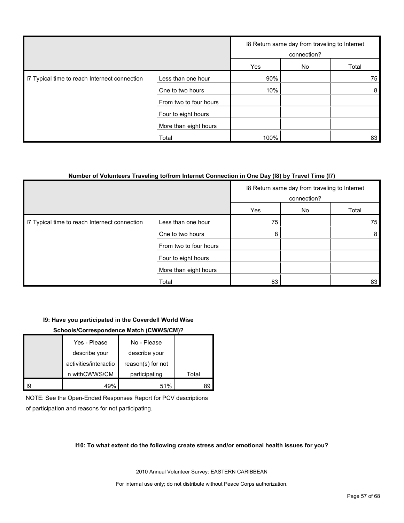|                                               |                        | 18 Return same day from traveling to Internet<br>connection? |    |       |
|-----------------------------------------------|------------------------|--------------------------------------------------------------|----|-------|
|                                               |                        | Yes                                                          | No | Total |
| I7 Typical time to reach Internect connection | Less than one hour     | 90%                                                          |    | 75    |
|                                               | One to two hours       | 10%                                                          |    | 8     |
|                                               | From two to four hours |                                                              |    |       |
|                                               | Four to eight hours    |                                                              |    |       |
|                                               | More than eight hours  |                                                              |    |       |
|                                               | Total                  | 100%                                                         |    | 83    |

#### **Number of Volunteers Traveling to/from Internet Connection in One Day (I8) by Travel Time (I7)**

|                                               |                        |     | 18 Return same day from traveling to Internet<br>connection? |                |  |
|-----------------------------------------------|------------------------|-----|--------------------------------------------------------------|----------------|--|
|                                               |                        | Yes | No                                                           | Total          |  |
| I7 Typical time to reach Internect connection | Less than one hour     | 75  |                                                              | 75             |  |
|                                               | One to two hours       | 8   |                                                              | 8 <sup>1</sup> |  |
|                                               | From two to four hours |     |                                                              |                |  |
|                                               | Four to eight hours    |     |                                                              |                |  |
|                                               | More than eight hours  |     |                                                              |                |  |
|                                               | Total                  | 83  |                                                              | 83             |  |

#### **I9: Have you participated in the Coverdell World Wise**

#### **Schools/Correspondence Match (CWWS/CM)?**

|    | Yes - Please          | No - Please       |       |
|----|-----------------------|-------------------|-------|
|    | describe your         | describe your     |       |
|    | activities/interactio | reason(s) for not |       |
|    | n withCWWS/CM         | participating     | Total |
| 19 |                       | 51%               |       |

NOTE: See the Open-Ended Responses Report for PCV descriptions of participation and reasons for not participating.

#### **I10: To what extent do the following create stress and/or emotional health issues for you?**

2010 Annual Volunteer Survey: EASTERN CARIBBEAN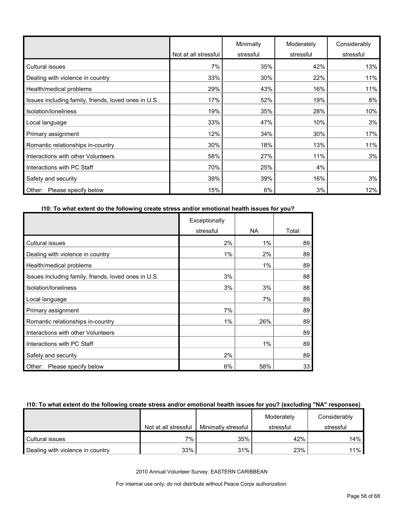|                                                      | Not at all stressful | Minimally<br>stressful | Moderately<br>stressful | Considerably<br>stressful |
|------------------------------------------------------|----------------------|------------------------|-------------------------|---------------------------|
| <b>Cultural issues</b>                               | 7%                   | 35%                    | 42%                     | 13%                       |
| Dealing with violence in country                     | 33%                  | 30%                    | 22%                     | 11%                       |
| Health/medical problems                              | 29%                  | 43%                    | 16%                     | 11%                       |
| Issues including family, friends, loved ones in U.S. | 17%                  | 52%                    | 19%                     | 8%                        |
| Isolation/Ioneliness                                 | 19%                  | 35%                    | 28%                     | 10%                       |
| Local language                                       | 33%                  | 47%                    | 10%                     | 3%                        |
| Primary assignment                                   | 12%                  | 34%                    | 30%                     | 17%                       |
| Romantic relationships in-country                    | 30%                  | 18%                    | 13%                     | 11%                       |
| Interactions with other Volunteers                   | 58%                  | 27%                    | 11%                     | 3%                        |
| Interactions with PC Staff                           | 70%                  | 25%                    | 4%                      |                           |
| Safety and security                                  | 39%                  | 39%                    | 16%                     | 3%                        |
| Please specify below<br>Other:                       | 15%                  | 6%                     | 3%                      | 12%                       |

## **I10: To what extent do the following create stress and/or emotional health issues for you?**

|                                                      | Exceptionally |       |       |
|------------------------------------------------------|---------------|-------|-------|
|                                                      | stressful     | NA.   | Total |
| <b>Cultural issues</b>                               | 2%            | $1\%$ | 89    |
| Dealing with violence in country                     | $1\%$         | 2%    | 89    |
| Health/medical problems                              |               | 1%    | 89    |
| Issues including family, friends, loved ones in U.S. | 3%            |       | 88    |
| Isolation/loneliness                                 | 3%            | 3%    | 88    |
| Local language                                       |               | 7%    | 89    |
| Primary assignment                                   | 7%            |       | 89    |
| Romantic relationships in-country                    | 1%            | 26%   | 89    |
| Interactions with other Volunteers                   |               |       | 89    |
| Interactions with PC Staff                           |               | $1\%$ | 89    |
| Safety and security                                  | 2%            |       | 89    |
| Other: Please specify below                          | 6%            | 58%   | 33    |

#### **I10: To what extent do the following create stress and/or emotional health issues for you? (excluding "NA" responses)**

|                                  |                      |                     | Moderately | Considerably |
|----------------------------------|----------------------|---------------------|------------|--------------|
|                                  | Not at all stressful | Minimally stressful | stressful  | stressful    |
| Cultural issues                  | $7\%$ .              | 35%                 | 42%        | 14%          |
| Dealing with violence in country | 33%                  | 31%                 | 23%        | 11%          |

2010 Annual Volunteer Survey: EASTERN CARIBBEAN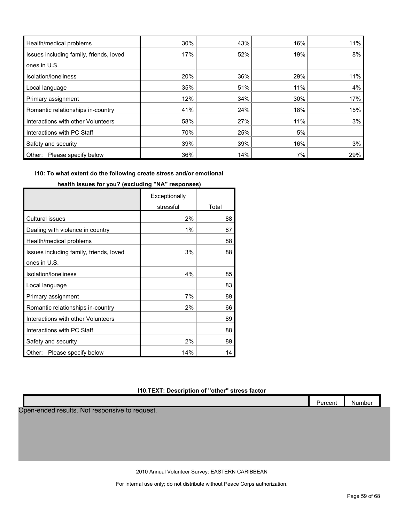| Health/medical problems                 | 30% | 43% | 16% | 11% |
|-----------------------------------------|-----|-----|-----|-----|
| Issues including family, friends, loved | 17% | 52% | 19% | 8%  |
| ones in U.S.                            |     |     |     |     |
| Isolation/loneliness                    | 20% | 36% | 29% | 11% |
| Local language                          | 35% | 51% | 11% | 4%  |
| Primary assignment                      | 12% | 34% | 30% | 17% |
| Romantic relationships in-country       | 41% | 24% | 18% | 15% |
| Interactions with other Volunteers      | 58% | 27% | 11% | 3%  |
| Interactions with PC Staff              | 70% | 25% | 5%  |     |
| Safety and security                     | 39% | 39% | 16% | 3%  |
| Please specify below<br>Other:          | 36% | 14% | 7%  | 29% |

## **I10: To what extent do the following create stress and/or emotional**

|                                         | Exceptionally |       |
|-----------------------------------------|---------------|-------|
|                                         | stressful     | Total |
| <b>Cultural issues</b>                  | 2%            | 88    |
| Dealing with violence in country        | 1%            | 87    |
| Health/medical problems                 |               | 88    |
| Issues including family, friends, loved | 3%            | 88    |
| ones in U.S.                            |               |       |
| Isolation/loneliness                    | 4%            | 85    |
| Local language                          |               | 83    |
| Primary assignment                      | 7%            | 89    |
| Romantic relationships in-country       | 2%            | 66    |
| Interactions with other Volunteers      |               | 89    |
| Interactions with PC Staff              |               | 88    |
| Safety and security                     | 2%            | 89    |
| Please specify below<br>Other:          | 14%           | 14    |

## **health issues for you? (excluding "NA" responses)**

## **I10.TEXT: Description of "other" stress factor**

|                                                | Percent | Number |
|------------------------------------------------|---------|--------|
| Open-ended results. Not responsive to request. |         |        |
|                                                |         |        |
|                                                |         |        |
|                                                |         |        |
|                                                |         |        |
|                                                |         |        |

2010 Annual Volunteer Survey: EASTERN CARIBBEAN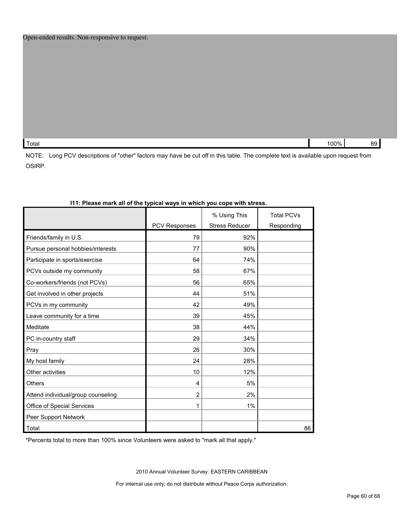|  |  | Open-ended results. Non-responsive to request. |
|--|--|------------------------------------------------|
|--|--|------------------------------------------------|

| Total | $100\%$<br>. | 89 |
|-------|--------------|----|
|       |              |    |

NOTE: Long PCV descriptions of "other" factors may have be cut off in this table. The complete text is available upon request from OSIRP.

| ITT. Flease mark all of the typical ways in which you cope with stress. |                      |                                       |                                 |
|-------------------------------------------------------------------------|----------------------|---------------------------------------|---------------------------------|
|                                                                         | <b>PCV Responses</b> | % Using This<br><b>Stress Reducer</b> | <b>Total PCVs</b><br>Responding |
|                                                                         |                      |                                       |                                 |
| Friends/family in U.S.                                                  | 79                   | 92%                                   |                                 |
| Pursue personal hobbies/interests                                       | 77                   | 90%                                   |                                 |
| Participate in sports/exercise                                          | 64                   | 74%                                   |                                 |
| PCVs outside my community                                               | 58                   | 67%                                   |                                 |
| Co-workers/friends (not PCVs)                                           | 56                   | 65%                                   |                                 |
| Get involved in other projects                                          | 44                   | 51%                                   |                                 |
| PCVs in my community                                                    | 42                   | 49%                                   |                                 |
| Leave community for a time                                              | 39                   | 45%                                   |                                 |
| Meditate                                                                | 38                   | 44%                                   |                                 |
| PC in-country staff                                                     | 29                   | 34%                                   |                                 |
| Pray                                                                    | 26                   | 30%                                   |                                 |
| My host family                                                          | 24                   | 28%                                   |                                 |
| Other activities                                                        | 10                   | 12%                                   |                                 |
| <b>Others</b>                                                           | 4                    | 5%                                    |                                 |
| Attend individual/group counseling                                      | $\overline{2}$       | 2%                                    |                                 |
| Office of Special Services                                              | 1                    | 1%                                    |                                 |
| Peer Support Network                                                    |                      |                                       |                                 |
| Total                                                                   |                      |                                       | 86                              |

## **I11: Please mark all of the typical ways in which you cope with stress.**

\*Percents total to more than 100% since Volunteers were asked to "mark all that apply."

2010 Annual Volunteer Survey: EASTERN CARIBBEAN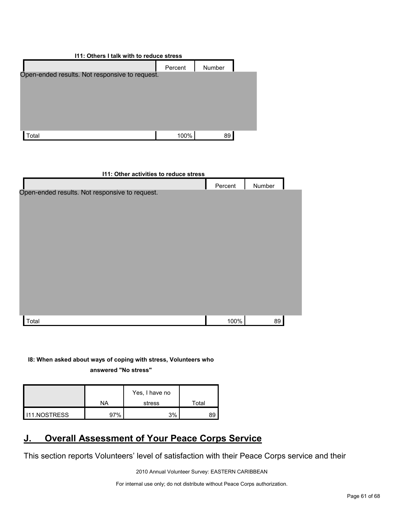| 111: Others I talk with to reduce stress       |         |        |  |  |  |
|------------------------------------------------|---------|--------|--|--|--|
|                                                | Percent | Number |  |  |  |
| Open-ended results. Not responsive to request. |         |        |  |  |  |
|                                                |         |        |  |  |  |
|                                                |         |        |  |  |  |
|                                                |         |        |  |  |  |
|                                                |         |        |  |  |  |
| otal <sup>.</sup>                              | 100%    | 89     |  |  |  |

| I11: Other activities to reduce stress         |         |        |  |  |  |
|------------------------------------------------|---------|--------|--|--|--|
|                                                | Percent | Number |  |  |  |
| Open-ended results. Not responsive to request. |         |        |  |  |  |
|                                                |         |        |  |  |  |
|                                                |         |        |  |  |  |
|                                                |         |        |  |  |  |
|                                                |         |        |  |  |  |
|                                                |         |        |  |  |  |
|                                                |         |        |  |  |  |
|                                                |         |        |  |  |  |
|                                                |         |        |  |  |  |
|                                                |         |        |  |  |  |
|                                                |         |        |  |  |  |
| Total                                          | 100%    | 89     |  |  |  |

**I8: When asked about ways of coping with stress, Volunteers who answered "No stress"** 

|              |     | Yes, I have no |       |
|--------------|-----|----------------|-------|
|              | NA  | stress         | Total |
| 111.NOSTRESS | 97% | 3%             | 89    |

# <span id="page-60-0"></span>**J. Overall Assessment of Your Peace Corps Service**

This section reports Volunteers' level of satisfaction with their Peace Corps service and their

2010 Annual Volunteer Survey: EASTERN CARIBBEAN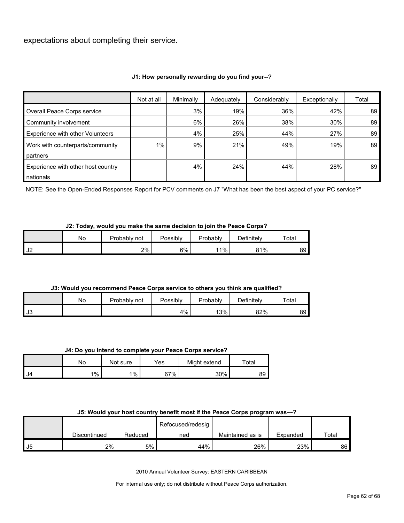expectations about completing their service.

## **J1: How personally rewarding do you find your--?**

|                                    | Not at all | Minimally | Adequately | Considerably | Exceptionally | Total |
|------------------------------------|------------|-----------|------------|--------------|---------------|-------|
| Overall Peace Corps service        |            | 3%        | 19%        | 36%          | 42%           | 89    |
| Community involvement              |            | 6%        | 26%        | 38%          | 30%           | 89    |
| Experience with other Volunteers   |            | 4%        | 25%        | 44%          | 27%           | 89    |
| Work with counterparts/community   | $1\%$      | 9%        | 21%        | 49%          | 19%           | 89    |
| partners                           |            |           |            |              |               |       |
| Experience with other host country |            | 4%        | 24%        | 44%          | 28%           | 89    |
| nationals                          |            |           |            |              |               |       |

NOTE: See the Open-Ended Responses Report for PCV comments on J7 "What has been the best aspect of your PC service?"

#### **J2: Today, would you make the same decision to join the Peace Corps?**

|               | No. | Probablv<br>not | Possibly | Probably | Definitelv | Total |
|---------------|-----|-----------------|----------|----------|------------|-------|
| $\sim$<br>ے ت |     | 2%              | 6%       | 11%      | 81%        | 89 I  |

## **J3: Would you recommend Peace Corps service to others you think are qualified?**

|      | No | Probably<br>not | Possibly | Probably | Definitely | Total |
|------|----|-----------------|----------|----------|------------|-------|
| l J3 |    |                 | 4%       | 13%      | 82%        | 89    |

#### **J4: Do you intend to complete your Peace Corps service?**

|     | No      | Not sure | Yes | Might extend | $\tau$ otal |
|-----|---------|----------|-----|--------------|-------------|
| IJ4 | $1\%$ . | $1\%$    | 67% | 30%          | 89          |

#### **J5: Would your host country benefit most if the Peace Corps program was---?**

|    |              |         | Refocused/redesig |                  |          |       |
|----|--------------|---------|-------------------|------------------|----------|-------|
|    | Discontinued | Reduced | ned               | Maintained as is | Expanded | Total |
| J5 | 2%           | 5%      | 44%               | 26%              | 23%      | 86    |

2010 Annual Volunteer Survey: EASTERN CARIBBEAN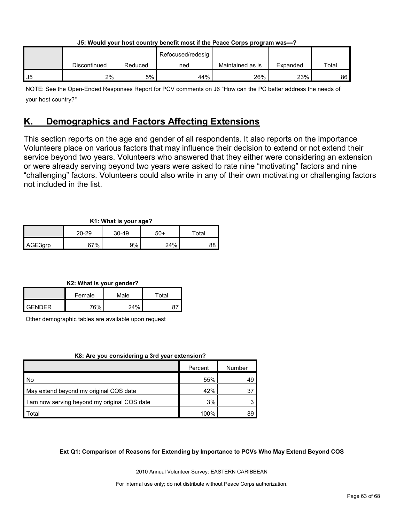| J5: Would your host country benefit most if the Peace Corps program was---? |  |                   |  |  |  |  |  |  |
|-----------------------------------------------------------------------------|--|-------------------|--|--|--|--|--|--|
|                                                                             |  | Refocused/redesia |  |  |  |  |  |  |

|    |              |         | Refocused/redesig |                  |          |       |
|----|--------------|---------|-------------------|------------------|----------|-------|
|    | Discontinued | Reduced | ned               | Maintained as is | Expanded | Total |
| J5 | 2%           | 5%      | 44%               | 26%              | 23%      | 86    |

NOTE: See the Open-Ended Responses Report for PCV comments on J6 "How can the PC better address the needs of your host country?"

# <span id="page-62-0"></span>**K. Demographics and Factors Affecting Extensions**

This section reports on the age and gender of all respondents. It also reports on the importance Volunteers place on various factors that may influence their decision to extend or not extend their service beyond two years. Volunteers who answered that they either were considering an extension or were already serving beyond two years were asked to rate nine "motivating" factors and nine "challenging" factors. Volunteers could also write in any of their own motivating or challenging factors not included in the list.

## **K1: What is your age?**

| . .<br>. . |                        |    |     |             |  |  |  |  |
|------------|------------------------|----|-----|-------------|--|--|--|--|
|            | $20 - 29$<br>$30 - 49$ |    | 50+ | $\tau$ otal |  |  |  |  |
| AGE3grp    | 67%                    | 9% | 24% | 88          |  |  |  |  |

## **K2: What is your gender?**

|               | Female | Male   | Total |
|---------------|--------|--------|-------|
| <b>GENDER</b> | 76%    | $24\%$ |       |

Other demographic tables are available upon request

## **K8: Are you considering a 3rd year extension?**

|                                              | Percent | Number |
|----------------------------------------------|---------|--------|
| No                                           | 55%     | 49     |
| May extend beyond my original COS date       | 42%     | 37     |
| I am now serving beyond my original COS date | 3%      |        |
| Total                                        | 100%    | 89     |

## **Ext Q1: Comparison of Reasons for Extending by Importance to PCVs Who May Extend Beyond COS**

2010 Annual Volunteer Survey: EASTERN CARIBBEAN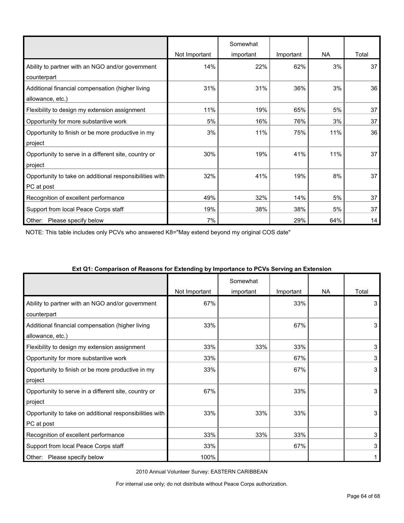|                                                         |               | Somewhat  |           |     |       |
|---------------------------------------------------------|---------------|-----------|-----------|-----|-------|
|                                                         | Not Important | important | Important | NA  | Total |
| Ability to partner with an NGO and/or government        | 14%           | 22%       | 62%       | 3%  | 37    |
| counterpart                                             |               |           |           |     |       |
| Additional financial compensation (higher living        | 31%           | 31%       | 36%       | 3%  | 36    |
| allowance, etc.)                                        |               |           |           |     |       |
| Flexibility to design my extension assignment           | 11%           | 19%       | 65%       | 5%  | 37    |
| Opportunity for more substantive work                   | 5%            | 16%       | 76%       | 3%  | 37    |
| Opportunity to finish or be more productive in my       | 3%            | 11%       | 75%       | 11% | 36    |
| project                                                 |               |           |           |     |       |
| Opportunity to serve in a different site, country or    | 30%           | 19%       | 41%       | 11% | 37    |
| project                                                 |               |           |           |     |       |
| Opportunity to take on additional responsibilities with | 32%           | 41%       | 19%       | 8%  | 37    |
| PC at post                                              |               |           |           |     |       |
| Recognition of excellent performance                    | 49%           | 32%       | 14%       | 5%  | 37    |
| Support from local Peace Corps staff                    | 19%           | 38%       | 38%       | 5%  | 37    |
| Please specify below<br>Other:                          | 7%            |           | 29%       | 64% | 14    |

NOTE: This table includes only PCVs who answered K8="May extend beyond my original COS date"

|                                                                       | Not Important | Somewhat<br>important | Important | <b>NA</b> | Total |
|-----------------------------------------------------------------------|---------------|-----------------------|-----------|-----------|-------|
| Ability to partner with an NGO and/or government<br>counterpart       | 67%           |                       | 33%       |           | 3     |
| Additional financial compensation (higher living<br>allowance, etc.)  | 33%           |                       | 67%       |           | 3     |
| Flexibility to design my extension assignment                         | 33%           | 33%                   | 33%       |           | 3     |
| Opportunity for more substantive work                                 | 33%           |                       | 67%       |           | 3     |
| Opportunity to finish or be more productive in my<br>project          | 33%           |                       | 67%       |           | 3     |
| Opportunity to serve in a different site, country or<br>project       | 67%           |                       | 33%       |           | 3     |
| Opportunity to take on additional responsibilities with<br>PC at post | 33%           | 33%                   | 33%       |           | 3     |
| Recognition of excellent performance                                  | 33%           | 33%                   | 33%       |           | 3     |
| Support from local Peace Corps staff                                  | 33%           |                       | 67%       |           | 3     |
| Please specify below<br>Other:                                        | 100%          |                       |           |           |       |

#### **Ext Q1: Comparison of Reasons for Extending by Importance to PCVs Serving an Extension**

2010 Annual Volunteer Survey: EASTERN CARIBBEAN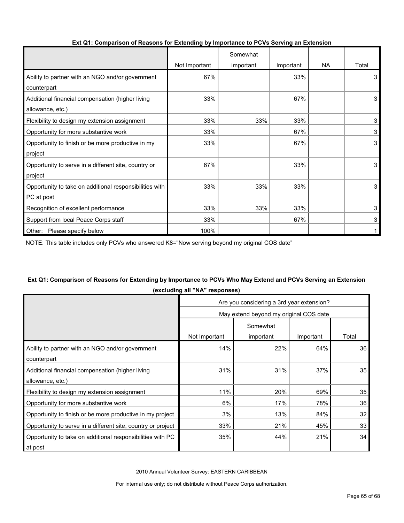|                                                         |               | Somewhat  |           |     |       |
|---------------------------------------------------------|---------------|-----------|-----------|-----|-------|
|                                                         | Not Important | important | Important | NA. | Total |
| Ability to partner with an NGO and/or government        | 67%           |           | 33%       |     | 3     |
| counterpart                                             |               |           |           |     |       |
| Additional financial compensation (higher living        | 33%           |           | 67%       |     | 3     |
| allowance, etc.)                                        |               |           |           |     |       |
| Flexibility to design my extension assignment           | 33%           | 33%       | 33%       |     | 3     |
| Opportunity for more substantive work                   | 33%           |           | 67%       |     | 3     |
| Opportunity to finish or be more productive in my       | 33%           |           | 67%       |     | 3     |
| project                                                 |               |           |           |     |       |
| Opportunity to serve in a different site, country or    | 67%           |           | 33%       |     | 3     |
| project                                                 |               |           |           |     |       |
| Opportunity to take on additional responsibilities with | 33%           | 33%       | 33%       |     | 3     |
| PC at post                                              |               |           |           |     |       |
| Recognition of excellent performance                    | 33%           | 33%       | 33%       |     | 3     |
| Support from local Peace Corps staff                    | 33%           |           | 67%       |     | 3     |
| Other: Please specify below                             | 100%          |           |           |     |       |

### **Ext Q1: Comparison of Reasons for Extending by Importance to PCVs Serving an Extension**

NOTE: This table includes only PCVs who answered K8="Now serving beyond my original COS date"

## **Ext Q1: Comparison of Reasons for Extending by Importance to PCVs Who May Extend and PCVs Serving an Extension (excluding all "NA" responses)**

|                                                              | Are you considering a 3rd year extension? |                       |           |       |  |  |  |
|--------------------------------------------------------------|-------------------------------------------|-----------------------|-----------|-------|--|--|--|
|                                                              | May extend beyond my original COS date    |                       |           |       |  |  |  |
|                                                              | Not Important                             | Somewhat<br>important | Important | Total |  |  |  |
| Ability to partner with an NGO and/or government             | 14%                                       | 22%                   | 64%       | 36    |  |  |  |
| counterpart                                                  |                                           |                       |           |       |  |  |  |
| Additional financial compensation (higher living             | 31%                                       | 31%                   | 37%       | 35    |  |  |  |
| allowance, etc.)                                             |                                           |                       |           |       |  |  |  |
| Flexibility to design my extension assignment                | 11%                                       | 20%                   | 69%       | 35    |  |  |  |
| Opportunity for more substantive work                        | 6%                                        | 17%                   | 78%       | 36    |  |  |  |
| Opportunity to finish or be more productive in my project    | 3%                                        | 13%                   | 84%       | 32    |  |  |  |
| Opportunity to serve in a different site, country or project | 33%                                       | 21%                   | 45%       | 33    |  |  |  |
| Opportunity to take on additional responsibilities with PC   | 35%                                       | 44%                   | 21%       | 34    |  |  |  |
| at post                                                      |                                           |                       |           |       |  |  |  |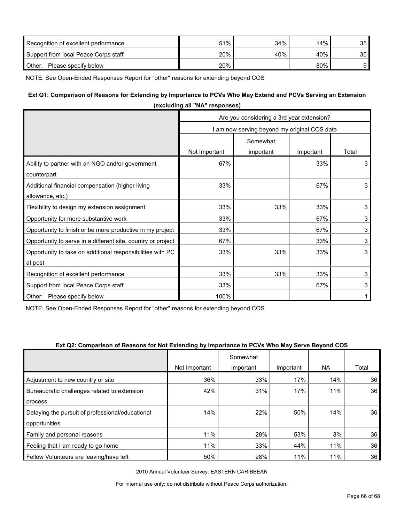| Recognition of excellent performance | 51% | $34\%$ | 14% | 35 |
|--------------------------------------|-----|--------|-----|----|
| Support from local Peace Corps staff | 20% | 40%    | 40% | 35 |
| Other:<br>Please specify below       | 20% |        | 80% |    |

NOTE: See Open-Ended Responses Report for "other" reasons for extending beyond COS

## **Ext Q1: Comparison of Reasons for Extending by Importance to PCVs Who May Extend and PCVs Serving an Extension**

| (excluding all "NA" responses)                               |                                              |           |           |       |  |  |  |  |
|--------------------------------------------------------------|----------------------------------------------|-----------|-----------|-------|--|--|--|--|
|                                                              | Are you considering a 3rd year extension?    |           |           |       |  |  |  |  |
|                                                              | I am now serving beyond my original COS date |           |           |       |  |  |  |  |
|                                                              | Somewhat                                     |           |           |       |  |  |  |  |
|                                                              | Not Important                                | important | Important | Total |  |  |  |  |
| Ability to partner with an NGO and/or government             | 67%                                          |           | 33%       | 3     |  |  |  |  |
| counterpart                                                  |                                              |           |           |       |  |  |  |  |
| Additional financial compensation (higher living             | 33%                                          |           | 67%       | 3     |  |  |  |  |
| allowance, etc.)                                             |                                              |           |           |       |  |  |  |  |
| Flexibility to design my extension assignment                | 33%                                          | 33%       | 33%       | 3     |  |  |  |  |
| Opportunity for more substantive work                        | 33%                                          |           | 67%       | 3     |  |  |  |  |
| Opportunity to finish or be more productive in my project    | 33%                                          |           | 67%       | 3     |  |  |  |  |
| Opportunity to serve in a different site, country or project | 67%                                          |           | 33%       | 3     |  |  |  |  |
| Opportunity to take on additional responsibilities with PC   | 33%                                          | 33%       | 33%       | 3     |  |  |  |  |
| at post                                                      |                                              |           |           |       |  |  |  |  |
| Recognition of excellent performance                         | 33%                                          | 33%       | 33%       | 3     |  |  |  |  |
| Support from local Peace Corps staff                         | 33%                                          |           | 67%       | 3     |  |  |  |  |
| Other:<br>Please specify below                               | 100%                                         |           |           |       |  |  |  |  |

NOTE: See Open-Ended Responses Report for "other" reasons for extending beyond COS

#### **Ext Q2: Comparison of Reasons for Not Extending by Importance to PCVs Who May Serve Beyond COS**

|                                                  |               | Somewhat  |           |           |       |
|--------------------------------------------------|---------------|-----------|-----------|-----------|-------|
|                                                  | Not Important | important | Important | <b>NA</b> | Total |
| Adjustment to new country or site                | 36%           | 33%       | 17%       | 14%       | 36    |
| Bureaucratic challenges related to extension     | 42%           | 31%       | 17%       | 11%       | 36    |
| process                                          |               |           |           |           |       |
| Delaying the pursuit of professional/educational | 14%           | 22%       | 50%       | 14%       | 36    |
| opportunities                                    |               |           |           |           |       |
| Family and personal reasons                      | 11%           | 28%       | 53%       | 8%        | 36    |
| Feeling that I am ready to go home               | 11%           | 33%       | 44%       | 11%       | 36    |
| Fellow Volunteers are leaving/have left          | 50%           | 28%       | 11%       | 11%       | 36    |

2010 Annual Volunteer Survey: EASTERN CARIBBEAN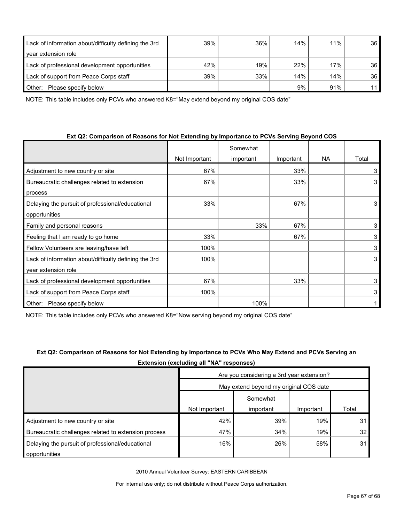| Lack of information about/difficulty defining the 3rd | 39% | 36% | 14% | 11% | 36              |
|-------------------------------------------------------|-----|-----|-----|-----|-----------------|
| year extension role                                   |     |     |     |     |                 |
| Lack of professional development opportunities        | 42% | 19% | 22% | 17% | 36 <sup>°</sup> |
| Lack of support from Peace Corps staff                | 39% | 33% | 14% | 14% | 36 <sup>°</sup> |
| Please specify below<br>Other:                        |     |     | 9%  | 91% | 11              |

NOTE: This table includes only PCVs who answered K8="May extend beyond my original COS date"

## **Ext Q2: Comparison of Reasons for Not Extending by Importance to PCVs Serving Beyond COS**

|                                                       |               | Somewhat  |           |     |       |
|-------------------------------------------------------|---------------|-----------|-----------|-----|-------|
|                                                       | Not Important | important | Important | NA. | Total |
| Adjustment to new country or site                     | 67%           |           | 33%       |     | 3     |
| Bureaucratic challenges related to extension          | 67%           |           | 33%       |     | 3     |
| process                                               |               |           |           |     |       |
| Delaying the pursuit of professional/educational      | 33%           |           | 67%       |     | 3     |
| opportunities                                         |               |           |           |     |       |
| Family and personal reasons                           |               | 33%       | 67%       |     | 3     |
| Feeling that I am ready to go home                    | 33%           |           | 67%       |     | 3     |
| Fellow Volunteers are leaving/have left               | 100%          |           |           |     | 3     |
| Lack of information about/difficulty defining the 3rd | 100%          |           |           |     | 3     |
| year extension role                                   |               |           |           |     |       |
| Lack of professional development opportunities        | 67%           |           | 33%       |     | 3     |
| Lack of support from Peace Corps staff                | 100%          |           |           |     | 3     |
| Other:<br>Please specify below                        |               | 100%      |           |     |       |

NOTE: This table includes only PCVs who answered K8="Now serving beyond my original COS date"

## **Ext Q2: Comparison of Reasons for Not Extending by Importance to PCVs Who May Extend and PCVs Serving an Extension (excluding all "NA" responses)**

|                                                      | Are you considering a 3rd year extension? |           |           |       |  |  |
|------------------------------------------------------|-------------------------------------------|-----------|-----------|-------|--|--|
|                                                      | May extend beyond my original COS date    |           |           |       |  |  |
|                                                      | Somewhat                                  |           |           |       |  |  |
|                                                      | Not Important                             | important | Important | Total |  |  |
| Adjustment to new country or site                    | 42%                                       | 39%       | 19%       | 31    |  |  |
| Bureaucratic challenges related to extension process | 47%                                       | 34%       | 19%       | 32    |  |  |
| Delaying the pursuit of professional/educational     | 16%                                       | 26%       | 58%       | 31    |  |  |
| opportunities                                        |                                           |           |           |       |  |  |

2010 Annual Volunteer Survey: EASTERN CARIBBEAN